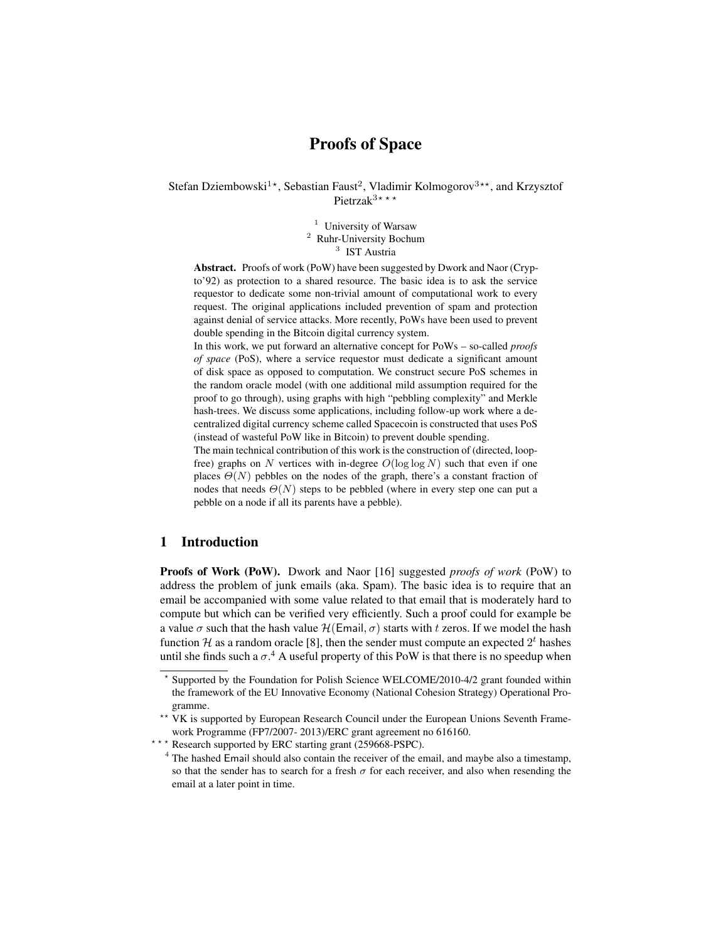Stefan Dziembowski<sup>1\*</sup>, Sebastian Faust<sup>2</sup>, Vladimir Kolmogorov<sup>3\*\*</sup>, and Krzysztof Pietrzak<sup>3\*\*\*</sup>

> $1$  University of Warsaw <sup>2</sup> Ruhr-University Bochum 3 IST Austria

Abstract. Proofs of work (PoW) have been suggested by Dwork and Naor (Crypto'92) as protection to a shared resource. The basic idea is to ask the service requestor to dedicate some non-trivial amount of computational work to every request. The original applications included prevention of spam and protection against denial of service attacks. More recently, PoWs have been used to prevent double spending in the Bitcoin digital currency system.

In this work, we put forward an alternative concept for PoWs – so-called *proofs of space* (PoS), where a service requestor must dedicate a significant amount of disk space as opposed to computation. We construct secure PoS schemes in the random oracle model (with one additional mild assumption required for the proof to go through), using graphs with high "pebbling complexity" and Merkle hash-trees. We discuss some applications, including follow-up work where a decentralized digital currency scheme called Spacecoin is constructed that uses PoS (instead of wasteful PoW like in Bitcoin) to prevent double spending.

The main technical contribution of this work is the construction of (directed, loopfree) graphs on N vertices with in-degree  $O(\log \log N)$  such that even if one places  $\Theta(N)$  pebbles on the nodes of the graph, there's a constant fraction of nodes that needs  $\Theta(N)$  steps to be pebbled (where in every step one can put a pebble on a node if all its parents have a pebble).

## 1 Introduction

Proofs of Work (PoW). Dwork and Naor [16] suggested *proofs of work* (PoW) to address the problem of junk emails (aka. Spam). The basic idea is to require that an email be accompanied with some value related to that email that is moderately hard to compute but which can be verified very efficiently. Such a proof could for example be a value  $\sigma$  such that the hash value  $\mathcal{H}(\mathsf{Email}, \sigma)$  starts with t zeros. If we model the hash function H as a random oracle [8], then the sender must compute an expected  $2^t$  hashes until she finds such a  $\sigma^4$ . A useful property of this PoW is that there is no speedup when

\*\*\* Research supported by ERC starting grant (259668-PSPC).

<sup>?</sup> Supported by the Foundation for Polish Science WELCOME/2010-4/2 grant founded within the framework of the EU Innovative Economy (National Cohesion Strategy) Operational Programme.

<sup>\*\*</sup> VK is supported by European Research Council under the European Unions Seventh Framework Programme (FP7/2007- 2013)/ERC grant agreement no 616160.

<sup>&</sup>lt;sup>4</sup> The hashed Email should also contain the receiver of the email, and maybe also a timestamp, so that the sender has to search for a fresh  $\sigma$  for each receiver, and also when resending the email at a later point in time.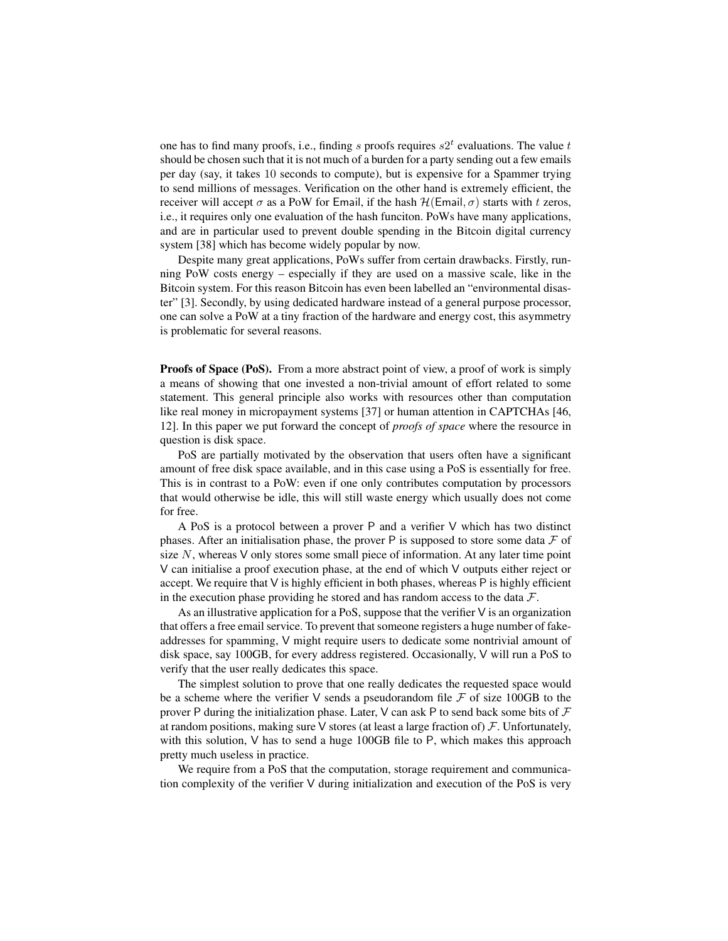one has to find many proofs, i.e., finding  $s$  proofs requires  $s2<sup>t</sup>$  evaluations. The value  $t$ should be chosen such that it is not much of a burden for a party sending out a few emails per day (say, it takes 10 seconds to compute), but is expensive for a Spammer trying to send millions of messages. Verification on the other hand is extremely efficient, the receiver will accept  $\sigma$  as a PoW for Email, if the hash  $\mathcal{H}$ (Email,  $\sigma$ ) starts with t zeros, i.e., it requires only one evaluation of the hash funciton. PoWs have many applications, and are in particular used to prevent double spending in the Bitcoin digital currency system [38] which has become widely popular by now.

Despite many great applications, PoWs suffer from certain drawbacks. Firstly, running PoW costs energy – especially if they are used on a massive scale, like in the Bitcoin system. For this reason Bitcoin has even been labelled an "environmental disaster" [3]. Secondly, by using dedicated hardware instead of a general purpose processor, one can solve a PoW at a tiny fraction of the hardware and energy cost, this asymmetry is problematic for several reasons.

**Proofs of Space (PoS).** From a more abstract point of view, a proof of work is simply a means of showing that one invested a non-trivial amount of effort related to some statement. This general principle also works with resources other than computation like real money in micropayment systems [37] or human attention in CAPTCHAs [46, 12]. In this paper we put forward the concept of *proofs of space* where the resource in question is disk space.

PoS are partially motivated by the observation that users often have a significant amount of free disk space available, and in this case using a PoS is essentially for free. This is in contrast to a PoW: even if one only contributes computation by processors that would otherwise be idle, this will still waste energy which usually does not come for free.

A PoS is a protocol between a prover P and a verifier V which has two distinct phases. After an initialisation phase, the prover P is supposed to store some data  $\mathcal F$  of size  $N$ , whereas V only stores some small piece of information. At any later time point V can initialise a proof execution phase, at the end of which V outputs either reject or accept. We require that  $V$  is highly efficient in both phases, whereas  $P$  is highly efficient in the execution phase providing he stored and has random access to the data  $\mathcal{F}$ .

As an illustrative application for a PoS, suppose that the verifier  $V$  is an organization that offers a free email service. To prevent that someone registers a huge number of fakeaddresses for spamming, V might require users to dedicate some nontrivial amount of disk space, say 100GB, for every address registered. Occasionally, V will run a PoS to verify that the user really dedicates this space.

The simplest solution to prove that one really dedicates the requested space would be a scheme where the verifier V sends a pseudorandom file  $\mathcal F$  of size 100GB to the prover P during the initialization phase. Later, V can ask P to send back some bits of  $\mathcal F$ at random positions, making sure V stores (at least a large fraction of)  $\mathcal{F}$ . Unfortunately, with this solution,  $V$  has to send a huge 100GB file to P, which makes this approach pretty much useless in practice.

We require from a PoS that the computation, storage requirement and communication complexity of the verifier V during initialization and execution of the PoS is very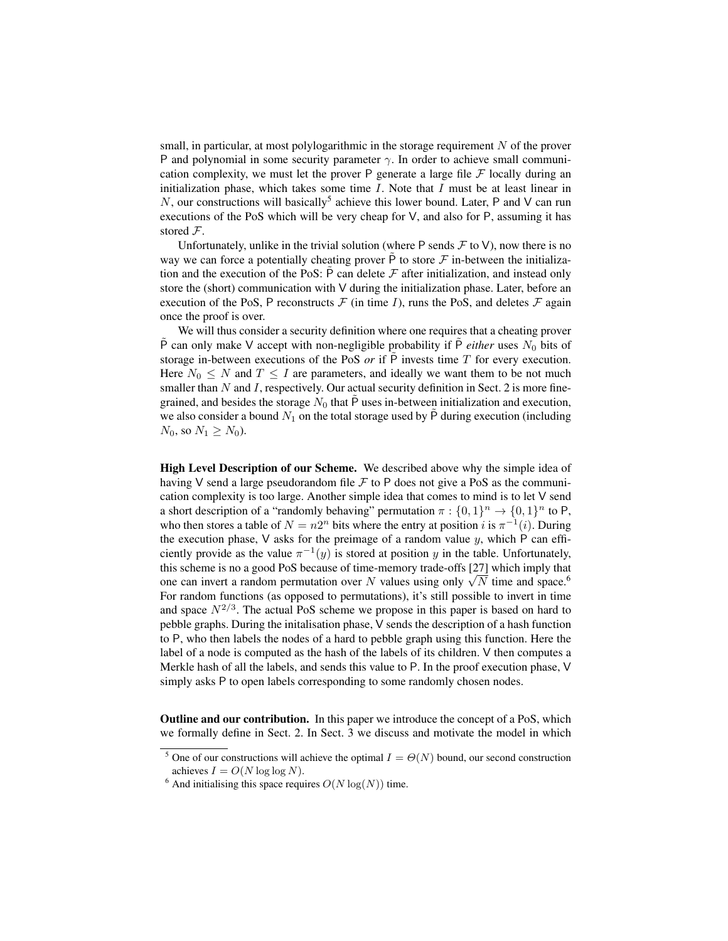small, in particular, at most polylogarithmic in the storage requirement  $N$  of the prover P and polynomial in some security parameter  $\gamma$ . In order to achieve small communication complexity, we must let the prover P generate a large file  $\mathcal F$  locally during an initialization phase, which takes some time  $I$ . Note that  $I$  must be at least linear in N, our constructions will basically<sup>5</sup> achieve this lower bound. Later, P and V can run executions of the PoS which will be very cheap for V, and also for P, assuming it has stored F.

Unfortunately, unlike in the trivial solution (where P sends  $\mathcal F$  to V), now there is no way we can force a potentially cheating prover P to store  $\mathcal F$  in-between the initialization and the execution of the PoS:  $\overline{P}$  can delete  $\overline{F}$  after initialization, and instead only store the (short) communication with V during the initialization phase. Later, before an execution of the PoS, P reconstructs  $\mathcal F$  (in time I), runs the PoS, and deletes  $\mathcal F$  again once the proof is over.

We will thus consider a security definition where one requires that a cheating prover  $\tilde{P}$  can only make V accept with non-negligible probability if  $\tilde{P}$  *either* uses  $N_0$  bits of storage in-between executions of the PoS  $or$  if  $\tilde{P}$  invests time  $T$  for every execution. Here  $N_0 \leq N$  and  $T \leq I$  are parameters, and ideally we want them to be not much smaller than  $N$  and  $I$ , respectively. Our actual security definition in Sect. 2 is more finegrained, and besides the storage  $N_0$  that  $\overline{P}$  uses in-between initialization and execution, we also consider a bound  $N_1$  on the total storage used by P during execution (including  $N_0$ , so  $N_1 \ge N_0$ ).

High Level Description of our Scheme. We described above why the simple idea of having V send a large pseudorandom file  $\mathcal F$  to P does not give a PoS as the communication complexity is too large. Another simple idea that comes to mind is to let V send a short description of a "randomly behaving" permutation  $\pi : \{0,1\}^n \to \{0,1\}^n$  to P, who then stores a table of  $N = n2^n$  bits where the entry at position i is  $\pi^{-1}(i)$ . During the execution phase, V asks for the preimage of a random value  $y$ , which P can efficiently provide as the value  $\pi^{-1}(y)$  is stored at position y in the table. Unfortunately, this scheme is no a good PoS because of time-memory trade-offs [27] which imply that this scheme is no a good Pos because of time-memory trade-offs  $[2]/J$  which imply that one can invert a random permutation over N values using only  $\sqrt{N}$  time and space.<sup>6</sup> For random functions (as opposed to permutations), it's still possible to invert in time and space  $N^{2/3}$ . The actual PoS scheme we propose in this paper is based on hard to pebble graphs. During the initalisation phase, V sends the description of a hash function to P, who then labels the nodes of a hard to pebble graph using this function. Here the label of a node is computed as the hash of the labels of its children. V then computes a Merkle hash of all the labels, and sends this value to P. In the proof execution phase, V simply asks P to open labels corresponding to some randomly chosen nodes.

Outline and our contribution. In this paper we introduce the concept of a PoS, which we formally define in Sect. 2. In Sect. 3 we discuss and motivate the model in which

<sup>&</sup>lt;sup>5</sup> One of our constructions will achieve the optimal  $I = \Theta(N)$  bound, our second construction achieves  $I = O(N \log \log N)$ .

 $6$  And initialising this space requires  $O(N \log(N))$  time.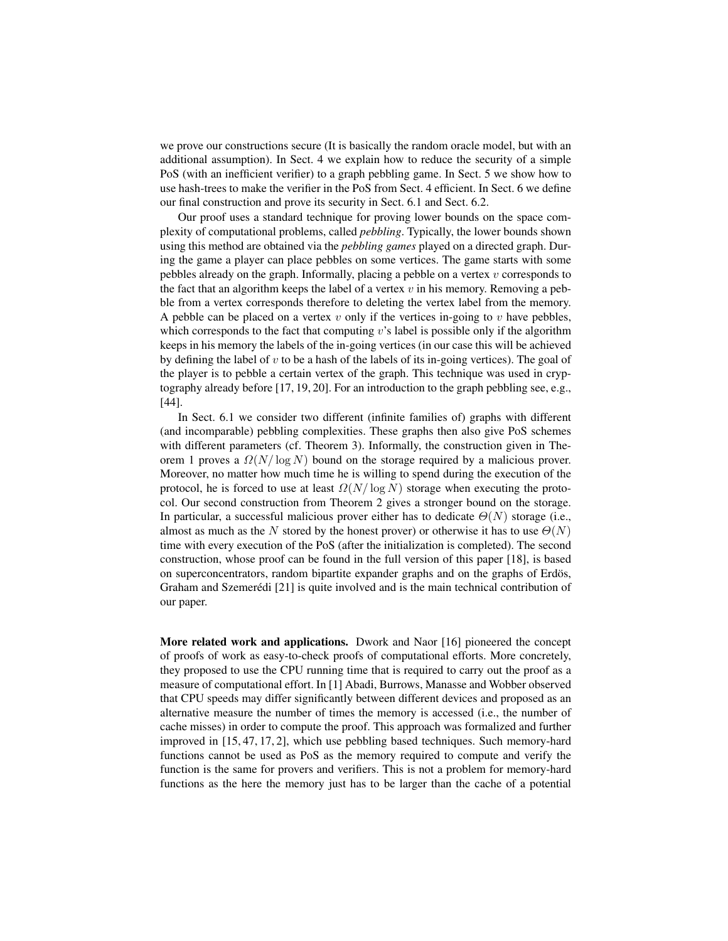we prove our constructions secure (It is basically the random oracle model, but with an additional assumption). In Sect. 4 we explain how to reduce the security of a simple PoS (with an inefficient verifier) to a graph pebbling game. In Sect. 5 we show how to use hash-trees to make the verifier in the PoS from Sect. 4 efficient. In Sect. 6 we define our final construction and prove its security in Sect. 6.1 and Sect. 6.2.

Our proof uses a standard technique for proving lower bounds on the space complexity of computational problems, called *pebbling*. Typically, the lower bounds shown using this method are obtained via the *pebbling games* played on a directed graph. During the game a player can place pebbles on some vertices. The game starts with some pebbles already on the graph. Informally, placing a pebble on a vertex  $v$  corresponds to the fact that an algorithm keeps the label of a vertex  $v$  in his memory. Removing a pebble from a vertex corresponds therefore to deleting the vertex label from the memory. A pebble can be placed on a vertex  $v$  only if the vertices in-going to  $v$  have pebbles, which corresponds to the fact that computing  $v$ 's label is possible only if the algorithm keeps in his memory the labels of the in-going vertices (in our case this will be achieved by defining the label of  $v$  to be a hash of the labels of its in-going vertices). The goal of the player is to pebble a certain vertex of the graph. This technique was used in cryptography already before [17, 19, 20]. For an introduction to the graph pebbling see, e.g., [44].

In Sect. 6.1 we consider two different (infinite families of) graphs with different (and incomparable) pebbling complexities. These graphs then also give PoS schemes with different parameters (cf. Theorem 3). Informally, the construction given in Theorem 1 proves a  $\Omega(N/\log N)$  bound on the storage required by a malicious prover. Moreover, no matter how much time he is willing to spend during the execution of the protocol, he is forced to use at least  $\Omega(N/\log N)$  storage when executing the protocol. Our second construction from Theorem 2 gives a stronger bound on the storage. In particular, a successful malicious prover either has to dedicate  $\Theta(N)$  storage (i.e., almost as much as the N stored by the honest prover) or otherwise it has to use  $\Theta(N)$ time with every execution of the PoS (after the initialization is completed). The second construction, whose proof can be found in the full version of this paper [18], is based on superconcentrators, random bipartite expander graphs and on the graphs of Erdös, Graham and Szemerédi [21] is quite involved and is the main technical contribution of our paper.

More related work and applications. Dwork and Naor [16] pioneered the concept of proofs of work as easy-to-check proofs of computational efforts. More concretely, they proposed to use the CPU running time that is required to carry out the proof as a measure of computational effort. In [1] Abadi, Burrows, Manasse and Wobber observed that CPU speeds may differ significantly between different devices and proposed as an alternative measure the number of times the memory is accessed (i.e., the number of cache misses) in order to compute the proof. This approach was formalized and further improved in [15, 47, 17, 2], which use pebbling based techniques. Such memory-hard functions cannot be used as PoS as the memory required to compute and verify the function is the same for provers and verifiers. This is not a problem for memory-hard functions as the here the memory just has to be larger than the cache of a potential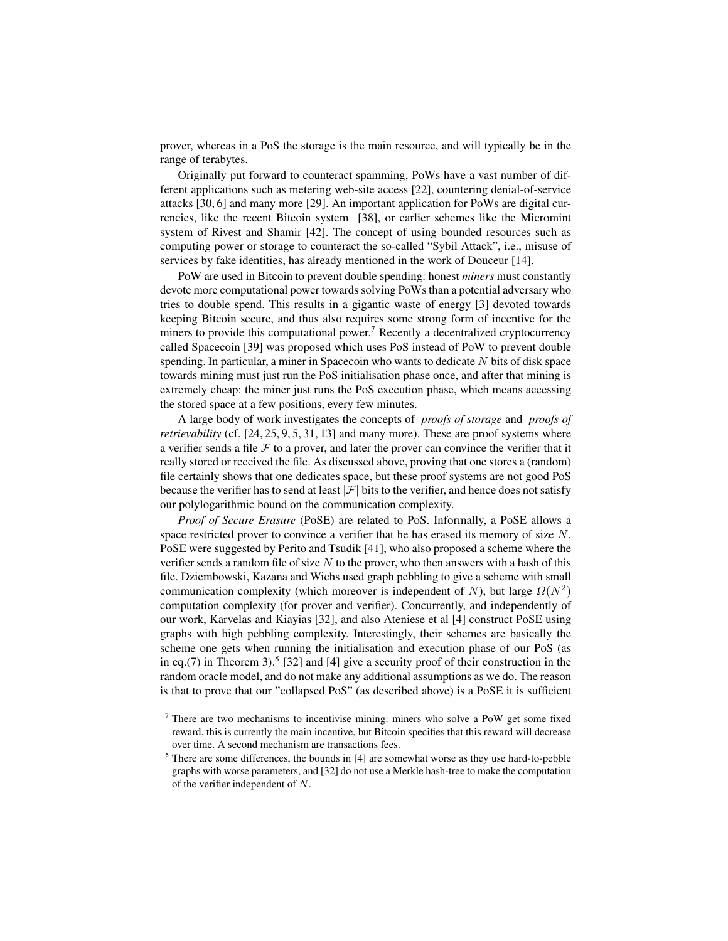prover, whereas in a PoS the storage is the main resource, and will typically be in the range of terabytes.

Originally put forward to counteract spamming, PoWs have a vast number of different applications such as metering web-site access [22], countering denial-of-service attacks [30, 6] and many more [29]. An important application for PoWs are digital currencies, like the recent Bitcoin system [38], or earlier schemes like the Micromint system of Rivest and Shamir [42]. The concept of using bounded resources such as computing power or storage to counteract the so-called "Sybil Attack", i.e., misuse of services by fake identities, has already mentioned in the work of Douceur [14].

PoW are used in Bitcoin to prevent double spending: honest *miners* must constantly devote more computational power towards solving PoWs than a potential adversary who tries to double spend. This results in a gigantic waste of energy [3] devoted towards keeping Bitcoin secure, and thus also requires some strong form of incentive for the miners to provide this computational power.<sup>7</sup> Recently a decentralized cryptocurrency called Spacecoin [39] was proposed which uses PoS instead of PoW to prevent double spending. In particular, a miner in Spacecoin who wants to dedicate N bits of disk space towards mining must just run the PoS initialisation phase once, and after that mining is extremely cheap: the miner just runs the PoS execution phase, which means accessing the stored space at a few positions, every few minutes.

A large body of work investigates the concepts of *proofs of storage* and *proofs of retrievability* (cf. [24, 25, 9, 5, 31, 13] and many more). These are proof systems where a verifier sends a file  $\mathcal F$  to a prover, and later the prover can convince the verifier that it really stored or received the file. As discussed above, proving that one stores a (random) file certainly shows that one dedicates space, but these proof systems are not good PoS because the verifier has to send at least  $|\mathcal{F}|$  bits to the verifier, and hence does not satisfy our polylogarithmic bound on the communication complexity.

*Proof of Secure Erasure* (PoSE) are related to PoS. Informally, a PoSE allows a space restricted prover to convince a verifier that he has erased its memory of size N. PoSE were suggested by Perito and Tsudik [41], who also proposed a scheme where the verifier sends a random file of size  $N$  to the prover, who then answers with a hash of this file. Dziembowski, Kazana and Wichs used graph pebbling to give a scheme with small communication complexity (which moreover is independent of N), but large  $\Omega(N^2)$ computation complexity (for prover and verifier). Concurrently, and independently of our work, Karvelas and Kiayias [32], and also Ateniese et al [4] construct PoSE using graphs with high pebbling complexity. Interestingly, their schemes are basically the scheme one gets when running the initialisation and execution phase of our PoS (as in eq.(7) in Theorem 3).<sup>8</sup> [32] and [4] give a security proof of their construction in the random oracle model, and do not make any additional assumptions as we do. The reason is that to prove that our "collapsed PoS" (as described above) is a PoSE it is sufficient

<sup>7</sup> There are two mechanisms to incentivise mining: miners who solve a PoW get some fixed reward, this is currently the main incentive, but Bitcoin specifies that this reward will decrease over time. A second mechanism are transactions fees.

<sup>&</sup>lt;sup>8</sup> There are some differences, the bounds in [4] are somewhat worse as they use hard-to-pebble graphs with worse parameters, and [32] do not use a Merkle hash-tree to make the computation of the verifier independent of N.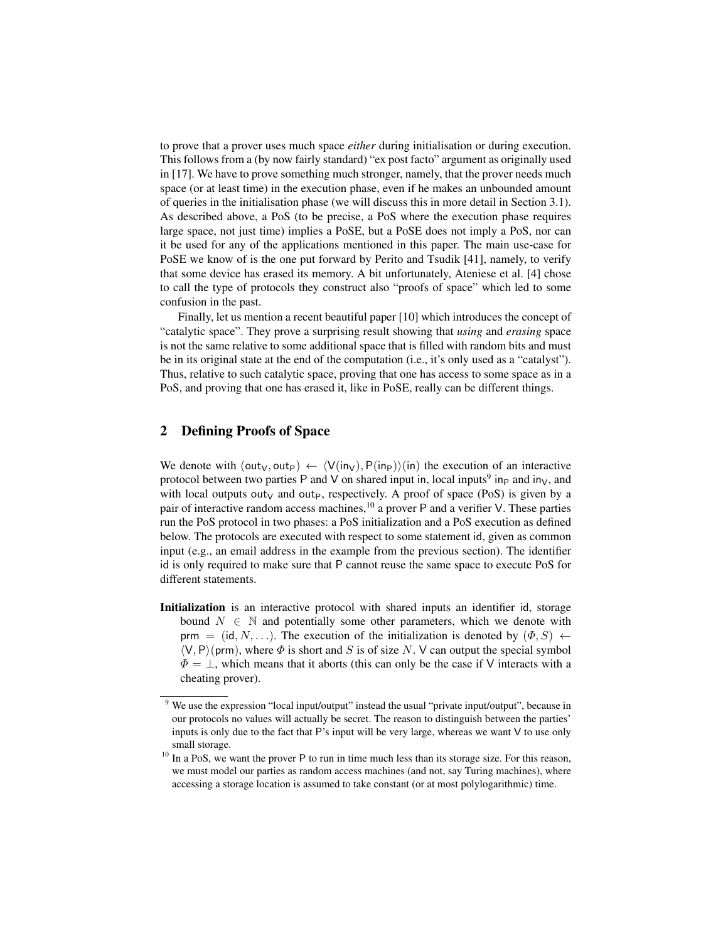to prove that a prover uses much space *either* during initialisation or during execution. This follows from a (by now fairly standard) "ex post facto" argument as originally used in [17]. We have to prove something much stronger, namely, that the prover needs much space (or at least time) in the execution phase, even if he makes an unbounded amount of queries in the initialisation phase (we will discuss this in more detail in Section 3.1). As described above, a PoS (to be precise, a PoS where the execution phase requires large space, not just time) implies a PoSE, but a PoSE does not imply a PoS, nor can it be used for any of the applications mentioned in this paper. The main use-case for PoSE we know of is the one put forward by Perito and Tsudik [41], namely, to verify that some device has erased its memory. A bit unfortunately, Ateniese et al. [4] chose to call the type of protocols they construct also "proofs of space" which led to some confusion in the past.

Finally, let us mention a recent beautiful paper [10] which introduces the concept of "catalytic space". They prove a surprising result showing that *using* and *erasing* space is not the same relative to some additional space that is filled with random bits and must be in its original state at the end of the computation (i.e., it's only used as a "catalyst"). Thus, relative to such catalytic space, proving that one has access to some space as in a PoS, and proving that one has erased it, like in PoSE, really can be different things.

# 2 Defining Proofs of Space

We denote with  $(out_V, out_P) \leftarrow \langle V(in_V), P(in_P) \rangle$ (in) the execution of an interactive protocol between two parties P and V on shared input in, local inputs<sup>9</sup> in<sub>P</sub> and in<sub>V</sub>, and with local outputs out $_V$  and outp, respectively. A proof of space (PoS) is given by a pair of interactive random access machines,<sup>10</sup> a prover P and a verifier V. These parties run the PoS protocol in two phases: a PoS initialization and a PoS execution as defined below. The protocols are executed with respect to some statement id, given as common input (e.g., an email address in the example from the previous section). The identifier id is only required to make sure that P cannot reuse the same space to execute PoS for different statements.

Initialization is an interactive protocol with shared inputs an identifier id, storage bound  $N \in \mathbb{N}$  and potentially some other parameters, which we denote with prm = (id, N, ...). The execution of the initialization is denoted by  $(\Phi, S) \leftarrow$  $\langle V, P \rangle$ (prm), where  $\Phi$  is short and S is of size N. V can output the special symbol  $\Phi = \perp$ , which means that it aborts (this can only be the case if V interacts with a cheating prover).

<sup>&</sup>lt;sup>9</sup> We use the expression "local input/output" instead the usual "private input/output", because in our protocols no values will actually be secret. The reason to distinguish between the parties' inputs is only due to the fact that P's input will be very large, whereas we want V to use only small storage.

<sup>&</sup>lt;sup>10</sup> In a PoS, we want the prover P to run in time much less than its storage size. For this reason, we must model our parties as random access machines (and not, say Turing machines), where accessing a storage location is assumed to take constant (or at most polylogarithmic) time.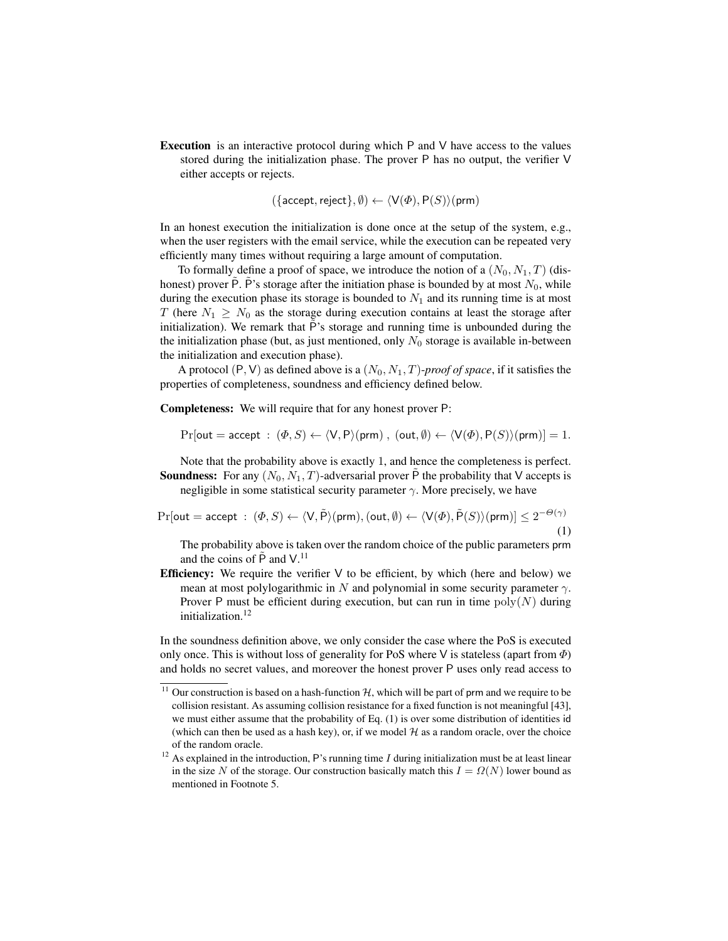**Execution** is an interactive protocol during which  $P$  and  $V$  have access to the values stored during the initialization phase. The prover P has no output, the verifier V either accepts or rejects.

 $({\{accept, reject\}}, \emptyset) \leftarrow \langle V(\Phi), P(S) \rangle$ (prm)

In an honest execution the initialization is done once at the setup of the system, e.g., when the user registers with the email service, while the execution can be repeated very efficiently many times without requiring a large amount of computation.

To formally define a proof of space, we introduce the notion of a  $(N_0, N_1, T)$  (dishonest) prover  $\tilde{P}$ .  $\tilde{P}$ 's storage after the initiation phase is bounded by at most  $N_0$ , while during the execution phase its storage is bounded to  $N_1$  and its running time is at most T (here  $N_1 \ge N_0$  as the storage during execution contains at least the storage after initialization). We remark that  $\tilde{P}$ 's storage and running time is unbounded during the the initialization phase (but, as just mentioned, only  $N_0$  storage is available in-between the initialization and execution phase).

A protocol  $(P, V)$  as defined above is a  $(N_0, N_1, T)$ -proof of space, if it satisfies the properties of completeness, soundness and efficiency defined below.

Completeness: We will require that for any honest prover P:

 $Pr[out = accept : (\Phi, S) \leftarrow \langle V, P \rangle(prim)$ ,  $(out, \emptyset) \leftarrow \langle V(\Phi), P(S) \rangle(prim)] = 1$ .

Note that the probability above is exactly 1, and hence the completeness is perfect. **Soundness:** For any  $(N_0, N_1, T)$ -adversarial prover  $\overline{P}$  the probability that V accepts is negligible in some statistical security parameter  $\gamma$ . More precisely, we have

 $\Pr[\mathsf{out}=\mathsf{accept}~:~(\varPhi,S) \leftarrow \langle \mathsf{V}, \tilde{\mathsf{P}} \rangle(\mathsf{prm}),(\mathsf{out}, \emptyset) \leftarrow \langle \mathsf{V}(\varPhi), \tilde{\mathsf{P}}(S) \rangle(\mathsf{prm})] \leq 2^{-\Theta(\gamma)}$ (1)

The probability above is taken over the random choice of the public parameters prm and the coins of  $\tilde{P}$  and V.<sup>11</sup>

**Efficiency:** We require the verifier V to be efficient, by which (here and below) we mean at most polylogarithmic in N and polynomial in some security parameter  $\gamma$ . Prover P must be efficient during execution, but can run in time  $poly(N)$  during initialization.<sup>12</sup>

In the soundness definition above, we only consider the case where the PoS is executed only once. This is without loss of generality for PoS where V is stateless (apart from  $\Phi$ ) and holds no secret values, and moreover the honest prover P uses only read access to

<sup>&</sup>lt;sup>11</sup> Our construction is based on a hash-function  $H$ , which will be part of prm and we require to be collision resistant. As assuming collision resistance for a fixed function is not meaningful [43], we must either assume that the probability of Eq. (1) is over some distribution of identities id (which can then be used as a hash key), or, if we model  $H$  as a random oracle, over the choice of the random oracle.

 $12$  As explained in the introduction, P's running time I during initialization must be at least linear in the size N of the storage. Our construction basically match this  $I = \Omega(N)$  lower bound as mentioned in Footnote 5.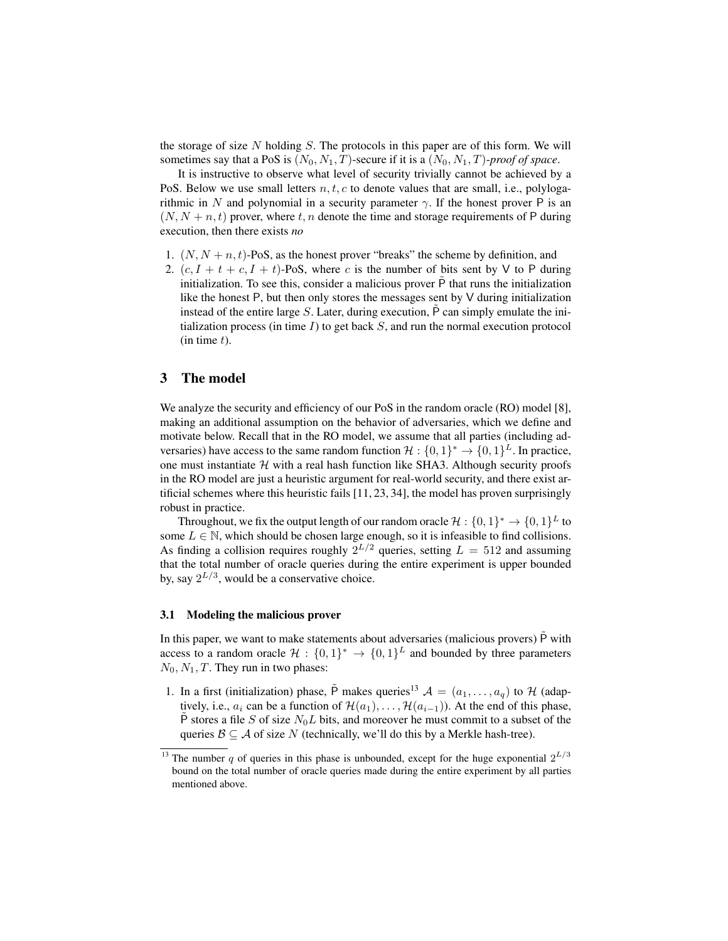the storage of size  $N$  holding  $S$ . The protocols in this paper are of this form. We will sometimes say that a PoS is  $(N_0, N_1, T)$ -secure if it is a  $(N_0, N_1, T)$ -proof of space.

It is instructive to observe what level of security trivially cannot be achieved by a PoS. Below we use small letters  $n, t, c$  to denote values that are small, i.e., polylogarithmic in N and polynomial in a security parameter  $\gamma$ . If the honest prover P is an  $(N, N + n, t)$  prover, where t, n denote the time and storage requirements of P during execution, then there exists *no*

- 1.  $(N, N + n, t)$ -PoS, as the honest prover "breaks" the scheme by definition, and
- 2.  $(c, I + t + c, I + t)$ -PoS, where c is the number of bits sent by V to P during initialization. To see this, consider a malicious prover  $\overline{P}$  that runs the initialization like the honest P, but then only stores the messages sent by  $\vee$  during initialization instead of the entire large  $S$ . Later, during execution,  $\tilde{P}$  can simply emulate the initialization process (in time  $I$ ) to get back  $S$ , and run the normal execution protocol  $(in time t).$

## 3 The model

We analyze the security and efficiency of our PoS in the random oracle (RO) model [8], making an additional assumption on the behavior of adversaries, which we define and motivate below. Recall that in the RO model, we assume that all parties (including adversaries) have access to the same random function  $\mathcal{H}: \{0,1\}^* \to \{0,1\}^L$ . In practice, one must instantiate  $H$  with a real hash function like SHA3. Although security proofs in the RO model are just a heuristic argument for real-world security, and there exist artificial schemes where this heuristic fails [11, 23, 34], the model has proven surprisingly robust in practice.

Throughout, we fix the output length of our random oracle  $\mathcal{H}:\{0,1\}^* \to \{0,1\}^L$  to some  $L \in \mathbb{N}$ , which should be chosen large enough, so it is infeasible to find collisions. As finding a collision requires roughly  $2^{L/2}$  queries, setting  $L = 512$  and assuming that the total number of oracle queries during the entire experiment is upper bounded by, say  $2^{L/3}$ , would be a conservative choice.

#### 3.1 Modeling the malicious prover

In this paper, we want to make statements about adversaries (malicious provers)  $\tilde{P}$  with access to a random oracle  $\mathcal{H} : \{0,1\}^* \to \{0,1\}^L$  and bounded by three parameters  $N_0$ ,  $N_1$ , T. They run in two phases:

1. In a first (initialization) phase,  $\tilde{P}$  makes queries<sup>13</sup>  $\mathcal{A} = (a_1, \dots, a_q)$  to  $\mathcal{H}$  (adaptively, i.e.,  $a_i$  can be a function of  $\mathcal{H}(a_1), \ldots, \mathcal{H}(a_{i-1})$ . At the end of this phase,  $\tilde{P}$  stores a file S of size  $N_0L$  bits, and moreover he must commit to a subset of the queries  $\mathcal{B} \subset \mathcal{A}$  of size N (technically, we'll do this by a Merkle hash-tree).

<sup>&</sup>lt;sup>13</sup> The number q of queries in this phase is unbounded, except for the huge exponential  $2^{L/3}$ bound on the total number of oracle queries made during the entire experiment by all parties mentioned above.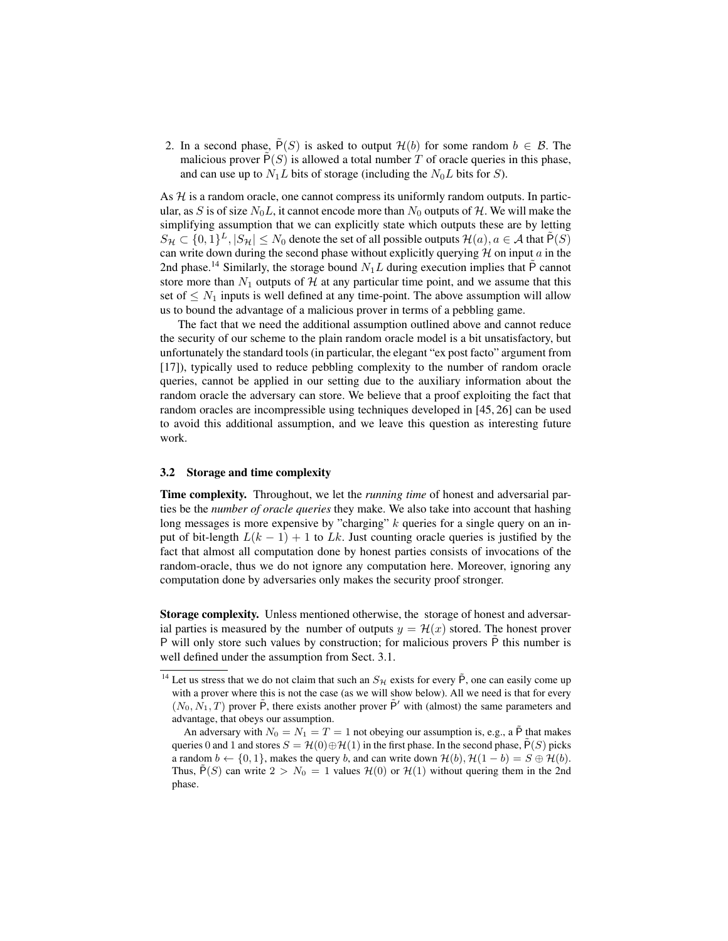2. In a second phase,  $\tilde{P}(S)$  is asked to output  $\mathcal{H}(b)$  for some random  $b \in \mathcal{B}$ . The malicious prover  $\tilde{P}(S)$  is allowed a total number T of oracle queries in this phase, and can use up to  $N_1L$  bits of storage (including the  $N_0L$  bits for S).

As  $H$  is a random oracle, one cannot compress its uniformly random outputs. In particular, as S is of size  $N_0L$ , it cannot encode more than  $N_0$  outputs of H. We will make the simplifying assumption that we can explicitly state which outputs these are by letting  $S_H \subset \{0,1\}^L, |S_H| \leq N_0$  denote the set of all possible outputs  $\mathcal{H}(a), a \in \mathcal{A}$  that  $\tilde{P}(S)$ can write down during the second phase without explicitly querying  $H$  on input  $a$  in the 2nd phase.<sup>14</sup> Similarly, the storage bound  $N_1L$  during execution implies that  $\tilde{P}$  cannot store more than  $N_1$  outputs of  $H$  at any particular time point, and we assume that this set of  $\leq N_1$  inputs is well defined at any time-point. The above assumption will allow us to bound the advantage of a malicious prover in terms of a pebbling game.

The fact that we need the additional assumption outlined above and cannot reduce the security of our scheme to the plain random oracle model is a bit unsatisfactory, but unfortunately the standard tools (in particular, the elegant "ex post facto" argument from [17]), typically used to reduce pebbling complexity to the number of random oracle queries, cannot be applied in our setting due to the auxiliary information about the random oracle the adversary can store. We believe that a proof exploiting the fact that random oracles are incompressible using techniques developed in [45, 26] can be used to avoid this additional assumption, and we leave this question as interesting future work.

#### 3.2 Storage and time complexity

Time complexity. Throughout, we let the *running time* of honest and adversarial parties be the *number of oracle queries* they make. We also take into account that hashing long messages is more expensive by "charging" k queries for a single query on an input of bit-length  $L(k - 1) + 1$  to Lk. Just counting oracle queries is justified by the fact that almost all computation done by honest parties consists of invocations of the random-oracle, thus we do not ignore any computation here. Moreover, ignoring any computation done by adversaries only makes the security proof stronger.

Storage complexity. Unless mentioned otherwise, the storage of honest and adversarial parties is measured by the number of outputs  $y = H(x)$  stored. The honest prover P will only store such values by construction; for malicious provers P˜ this number is well defined under the assumption from Sect. 3.1.

<sup>&</sup>lt;sup>14</sup> Let us stress that we do not claim that such an  $S_{H}$  exists for every  $\tilde{P}$ , one can easily come up with a prover where this is not the case (as we will show below). All we need is that for every  $(N_0, N_1, T)$  prover  $\tilde{P}$ , there exists another prover  $\tilde{P}'$  with (almost) the same parameters and advantage, that obeys our assumption.

An adversary with  $N_0 = N_1 = T = 1$  not obeying our assumption is, e.g., a  $\tilde{P}$  that makes queries 0 and 1 and stores  $S = H(0) \oplus H(1)$  in the first phase. In the second phase,  $\tilde{P}(S)$  picks a random  $b \leftarrow \{0, 1\}$ , makes the query b, and can write down  $\mathcal{H}(b)$ ,  $\mathcal{H}(1 - b) = S \oplus \mathcal{H}(b)$ . Thus,  $\tilde{P}(S)$  can write  $2 > N_0 = 1$  values  $\mathcal{H}(0)$  or  $\mathcal{H}(1)$  without quering them in the 2nd phase.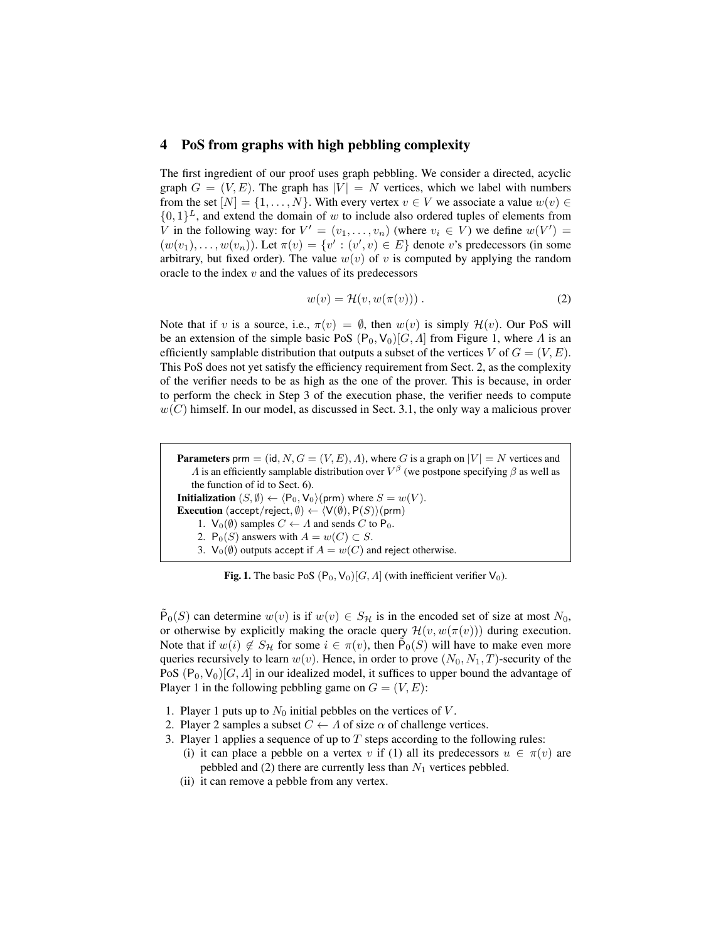### 4 PoS from graphs with high pebbling complexity

The first ingredient of our proof uses graph pebbling. We consider a directed, acyclic graph  $G = (V, E)$ . The graph has  $|V| = N$  vertices, which we label with numbers from the set  $[N] = \{1, ..., N\}$ . With every vertex  $v \in V$  we associate a value  $w(v) \in$  $\{0,1\}^L$ , and extend the domain of w to include also ordered tuples of elements from V in the following way: for  $V' = (v_1, \ldots, v_n)$  (where  $v_i \in V$ ) we define  $w(V') =$  $(w(v_1), \ldots, w(v_n))$ . Let  $\pi(v) = \{v' : (v', v) \in E\}$  denote v's predecessors (in some arbitrary, but fixed order). The value  $w(v)$  of v is computed by applying the random oracle to the index  $v$  and the values of its predecessors

$$
w(v) = \mathcal{H}(v, w(\pi(v)))\,. \tag{2}
$$

Note that if v is a source, i.e.,  $\pi(v) = \emptyset$ , then  $w(v)$  is simply  $\mathcal{H}(v)$ . Our PoS will be an extension of the simple basic PoS  $(P_0, V_0)[G, \Lambda]$  from Figure 1, where  $\Lambda$  is an efficiently samplable distribution that outputs a subset of the vertices V of  $G = (V, E)$ . This PoS does not yet satisfy the efficiency requirement from Sect. 2, as the complexity of the verifier needs to be as high as the one of the prover. This is because, in order to perform the check in Step 3 of the execution phase, the verifier needs to compute  $w(C)$  himself. In our model, as discussed in Sect. 3.1, the only way a malicious prover

**Parameters** prm = (id, N,  $G = (V, E)$ , A), where G is a graph on  $|V| = N$  vertices and A is an efficiently samplable distribution over  $V^{\beta}$  (we postpone specifying  $\beta$  as well as the function of id to Sect. 6). **Initialization**  $(S, \emptyset) \leftarrow \langle P_0, V_0 \rangle$  (prm) where  $S = w(V)$ . **Execution** (accept/reject,  $\emptyset$ )  $\leftarrow \langle V(\emptyset), P(S) \rangle$ (prm) 1.  $V_0(\emptyset)$  samples  $C \leftarrow A$  and sends C to P<sub>0</sub>. 2.  $P_0(S)$  answers with  $A = w(C) \subset S$ . 3.  $V_0(\emptyset)$  outputs accept if  $A = w(C)$  and reject otherwise.

Fig. 1. The basic PoS  $(P_0, V_0)[G, \Lambda]$  (with inefficient verifier  $V_0$ ).

 $\tilde{P}_0(S)$  can determine  $w(v)$  is if  $w(v) \in S_H$  is in the encoded set of size at most  $N_0$ , or otherwise by explicitly making the oracle query  $\mathcal{H}(v, w(\pi(v)))$  during execution. Note that if  $w(i) \notin S_H$  for some  $i \in \pi(v)$ , then  $\tilde{P}_0(S)$  will have to make even more queries recursively to learn  $w(v)$ . Hence, in order to prove  $(N_0, N_1, T)$ -security of the PoS  $(P_0, V_0)[G, \Lambda]$  in our idealized model, it suffices to upper bound the advantage of Player 1 in the following pebbling game on  $G = (V, E)$ :

- 1. Player 1 puts up to  $N_0$  initial pebbles on the vertices of V.
- 2. Player 2 samples a subset  $C \leftarrow A$  of size  $\alpha$  of challenge vertices.
- 3. Player 1 applies a sequence of up to  $T$  steps according to the following rules:
	- (i) it can place a pebble on a vertex v if (1) all its predecessors  $u \in \pi(v)$  are pebbled and (2) there are currently less than  $N_1$  vertices pebbled.
	- (ii) it can remove a pebble from any vertex.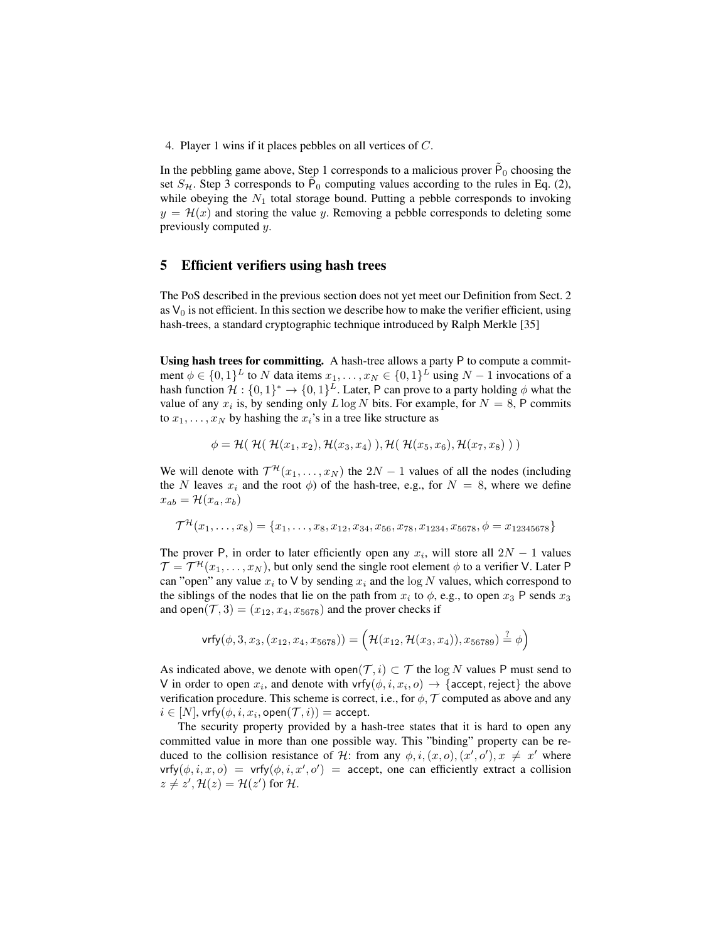4. Player 1 wins if it places pebbles on all vertices of C.

In the pebbling game above, Step 1 corresponds to a malicious prover  $\tilde{P}_0$  choosing the set  $S_H$ . Step 3 corresponds to  $\tilde{P}_0$  computing values according to the rules in Eq. (2), while obeying the  $N_1$  total storage bound. Putting a pebble corresponds to invoking  $y = H(x)$  and storing the value y. Removing a pebble corresponds to deleting some previously computed y.

### 5 Efficient verifiers using hash trees

The PoS described in the previous section does not yet meet our Definition from Sect. 2 as  $V_0$  is not efficient. In this section we describe how to make the verifier efficient, using hash-trees, a standard cryptographic technique introduced by Ralph Merkle [35]

Using hash trees for committing. A hash-tree allows a party P to compute a commitment  $\phi \in \{0,1\}^L$  to N data items  $x_1, \ldots, x_N \in \{0,1\}^L$  using  $N-1$  invocations of a hash function  $\mathcal{H}: \{0,1\}^* \to \{0,1\}^L$ . Later, P can prove to a party holding  $\phi$  what the value of any  $x_i$  is, by sending only  $L \log N$  bits. For example, for  $N = 8$ , P commits to  $x_1, \ldots, x_N$  by hashing the  $x_i$ 's in a tree like structure as

$$
\phi = \mathcal{H}(\mathcal{H}(\mathcal{H}(x_1,x_2),\mathcal{H}(x_3,x_4)),\mathcal{H}(\mathcal{H}(x_5,x_6),\mathcal{H}(x_7,x_8)))
$$

We will denote with  $\mathcal{T}^{\mathcal{H}}(x_1,\ldots,x_N)$  the  $2N-1$  values of all the nodes (including the N leaves  $x_i$  and the root  $\phi$ ) of the hash-tree, e.g., for  $N = 8$ , where we define  $x_{ab} = \mathcal{H}(x_a, x_b)$ 

$$
\mathcal{T}^{\mathcal{H}}(x_1,\ldots,x_8)=\{x_1,\ldots,x_8,x_{12},x_{34},x_{56},x_{78},x_{1234},x_{5678},\phi=x_{12345678}\}\
$$

The prover P, in order to later efficiently open any  $x_i$ , will store all  $2N - 1$  values  $\mathcal{T} = \mathcal{T}^{\mathcal{H}}(x_1, \dots, x_N)$ , but only send the single root element  $\phi$  to a verifier V. Later P can "open" any value  $x_i$  to V by sending  $x_i$  and the  $\log N$  values, which correspond to the siblings of the nodes that lie on the path from  $x_i$  to  $\phi$ , e.g., to open  $x_3$  P sends  $x_3$ and open $(\mathcal{T}, 3) = (x_{12}, x_4, x_{5678})$  and the prover checks if

$$
\mathsf{vrfy}(\phi, 3, x_3, (x_{12}, x_4, x_{5678})) = \left(\mathcal{H}(x_{12}, \mathcal{H}(x_3, x_4)), x_{56789}) \stackrel{?}{=} \phi\right)
$$

As indicated above, we denote with open $(\mathcal{T}, i) \subset \mathcal{T}$  the log N values P must send to V in order to open  $x_i$ , and denote with  $\mathsf{vrfy}(\phi, i, x_i, o) \to \{\textsf{accept}, \textsf{reject}\}\$  the above verification procedure. This scheme is correct, i.e., for  $\phi$ ,  $\mathcal T$  computed as above and any  $i \in [N],$  vrfy $(\phi, i, x_i, \mathsf{open}(\mathcal{T}, i)) = \mathsf{accept}.$ 

The security property provided by a hash-tree states that it is hard to open any committed value in more than one possible way. This "binding" property can be reduced to the collision resistance of H: from any  $\phi$ , i,  $(x, o)$ ,  $(x', o')$ ,  $x \neq x'$  where  $\text{vrfy}(\phi, i, x, o) = \text{vrfy}(\phi, i, x', o') = \text{accept}, \text{ one can efficiently extract a collision}$  $z \neq z'$ ,  $\mathcal{H}(z) = \mathcal{H}(z')$  for  $\mathcal{H}$ .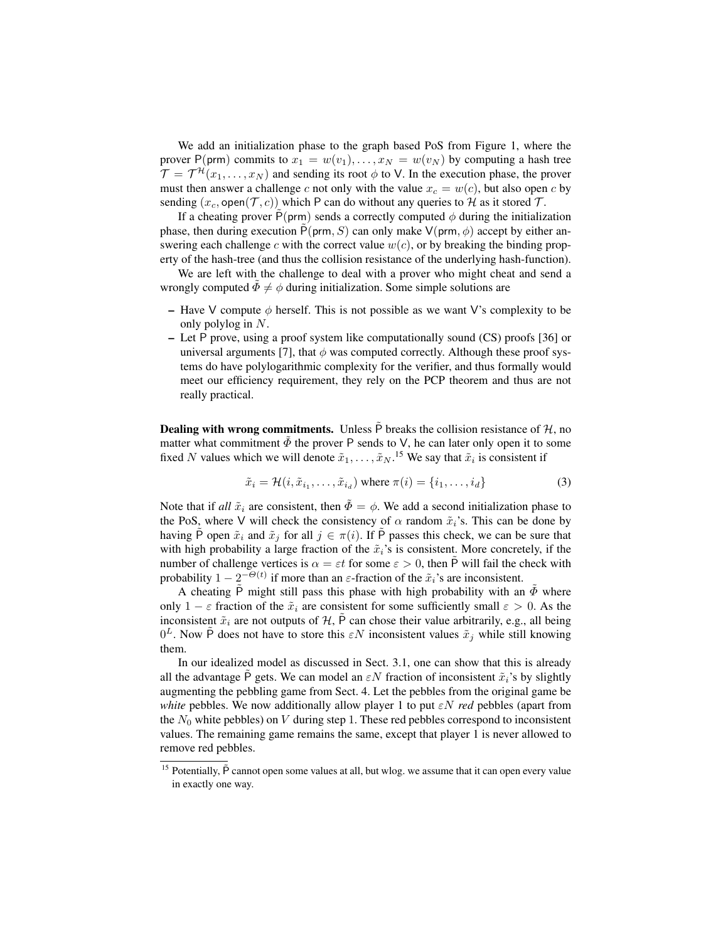We add an initialization phase to the graph based PoS from Figure 1, where the prover P(prm) commits to  $x_1 = w(v_1), \ldots, x_N = w(v_N)$  by computing a hash tree  $\mathcal{T} = \mathcal{T}^{\mathcal{H}}(x_1, \dots, x_N)$  and sending its root  $\phi$  to V. In the execution phase, the prover must then answer a challenge c not only with the value  $x_c = w(c)$ , but also open c by sending  $(x_c, \text{open}(\mathcal{T}, c))$  which P can do without any queries to H as it stored T.

If a cheating prover  $\tilde{P}$ (prm) sends a correctly computed  $\phi$  during the initialization phase, then during execution  $\tilde{P}(\text{prm}, S)$  can only make  $V(\text{prm}, \phi)$  accept by either answering each challenge c with the correct value  $w(c)$ , or by breaking the binding property of the hash-tree (and thus the collision resistance of the underlying hash-function).

We are left with the challenge to deal with a prover who might cheat and send a wrongly computed  $\ddot{\Phi} \neq \phi$  during initialization. Some simple solutions are

- Have V compute  $\phi$  herself. This is not possible as we want V's complexity to be only polylog in N.
- Let P prove, using a proof system like computationally sound (CS) proofs [36] or universal arguments [7], that  $\phi$  was computed correctly. Although these proof systems do have polylogarithmic complexity for the verifier, and thus formally would meet our efficiency requirement, they rely on the PCP theorem and thus are not really practical.

**Dealing with wrong commitments.** Unless  $\tilde{P}$  breaks the collision resistance of  $H$ , no matter what commitment  $\tilde{\Phi}$  the prover P sends to V, he can later only open it to some fixed N values which we will denote  $\tilde{x}_1, \ldots, \tilde{x}_N$ .<sup>15</sup> We say that  $\tilde{x}_i$  is consistent if

$$
\tilde{x}_i = \mathcal{H}(i, \tilde{x}_{i_1}, \dots, \tilde{x}_{i_d}) \text{ where } \pi(i) = \{i_1, \dots, i_d\}
$$
\n(3)

Note that if *all*  $\tilde{x}_i$  are consistent, then  $\tilde{\Phi} = \phi$ . We add a second initialization phase to the PoS, where V will check the consistency of  $\alpha$  random  $\tilde{x}_i$ 's. This can be done by having  $\tilde{P}$  open  $\tilde{x}_i$  and  $\tilde{x}_j$  for all  $j \in \pi(i)$ . If  $\tilde{P}$  passes this check, we can be sure that with high probability a large fraction of the  $\tilde{x}_i$ 's is consistent. More concretely, if the number of challenge vertices is  $\alpha = \varepsilon t$  for some  $\varepsilon > 0$ , then P will fail the check with probability  $1 - 2^{-\Theta(t)}$  if more than an  $\varepsilon$ -fraction of the  $\tilde{x}_i$ 's are inconsistent.

A cheating P might still pass this phase with high probability with an  $\tilde{\Phi}$  where only  $1 - \varepsilon$  fraction of the  $\tilde{x}_i$  are consistent for some sufficiently small  $\varepsilon > 0$ . As the inconsistent  $\tilde{x}_i$  are not outputs of  $H$ ,  $\tilde{P}$  can chose their value arbitrarily, e.g., all being  $0^L$ . Now  $\tilde{P}$  does not have to store this  $\varepsilon N$  inconsistent values  $\tilde{x}_j$  while still knowing them.

In our idealized model as discussed in Sect. 3.1, one can show that this is already all the advantage P gets. We can model an  $\epsilon N$  fraction of inconsistent  $\tilde{x}_i$ 's by slightly augmenting the pebbling game from Sect. 4. Let the pebbles from the original game be *white* pebbles. We now additionally allow player 1 to put  $\epsilon N$  *red* pebbles (apart from the  $N_0$  white pebbles) on V during step 1. These red pebbles correspond to inconsistent values. The remaining game remains the same, except that player 1 is never allowed to remove red pebbles.

<sup>&</sup>lt;sup>15</sup> Potentially,  $\tilde{P}$  cannot open some values at all, but wlog. we assume that it can open every value in exactly one way.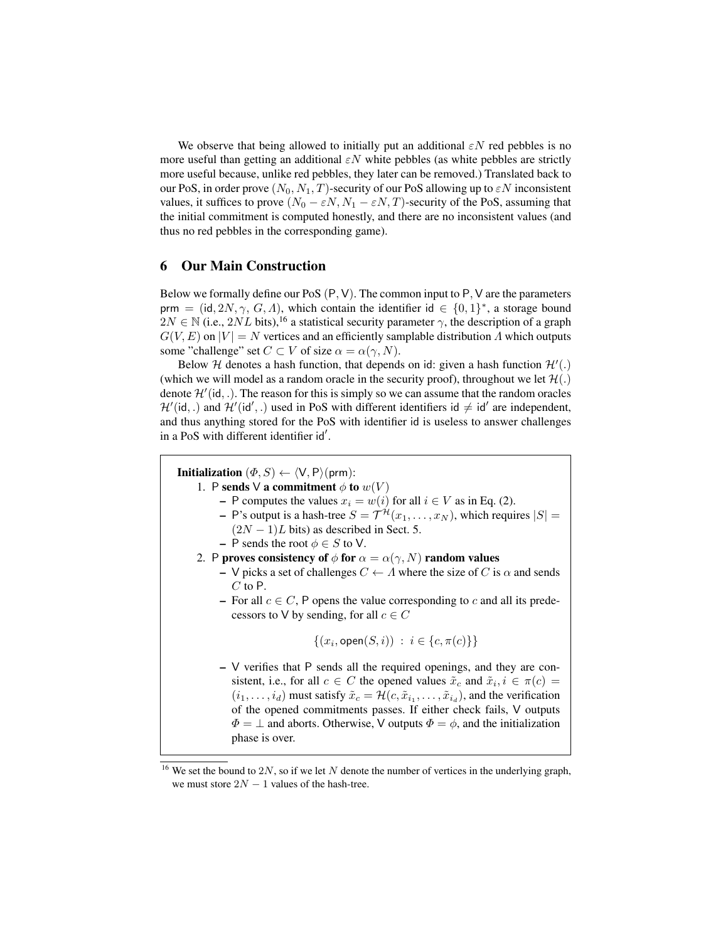We observe that being allowed to initially put an additional  $\epsilon N$  red pebbles is no more useful than getting an additional  $\epsilon N$  white pebbles (as white pebbles are strictly more useful because, unlike red pebbles, they later can be removed.) Translated back to our PoS, in order prove  $(N_0, N_1, T)$ -security of our PoS allowing up to  $\epsilon N$  inconsistent values, it suffices to prove  $(N_0 - \varepsilon N, N_1 - \varepsilon N, T)$ -security of the PoS, assuming that the initial commitment is computed honestly, and there are no inconsistent values (and thus no red pebbles in the corresponding game).

### 6 Our Main Construction

Below we formally define our PoS  $(P, V)$ . The common input to P, V are the parameters prm = (id, 2N,  $\gamma$ , G, A), which contain the identifier id  $\in \{0,1\}^*$ , a storage bound  $2N \in \mathbb{N}$  (i.e.,  $2NL$  bits),<sup>16</sup> a statistical security parameter  $\gamma$ , the description of a graph  $G(V, E)$  on  $|V| = N$  vertices and an efficiently samplable distribution  $\Lambda$  which outputs some "challenge" set  $C \subset V$  of size  $\alpha = \alpha(\gamma, N)$ .

Below H denotes a hash function, that depends on id: given a hash function  $\mathcal{H}'(.)$ (which we will model as a random oracle in the security proof), throughout we let  $\mathcal{H}(.)$ denote  $\mathcal{H}'(id, .)$ . The reason for this is simply so we can assume that the random oracles  $\mathcal{H}'$ (id, .) and  $\mathcal{H}'$ (id', .) used in PoS with different identifiers id  $\neq$  id' are independent, and thus anything stored for the PoS with identifier id is useless to answer challenges in a PoS with different identifier id'.

## **Initialization** ( $\Phi$ , S)  $\leftarrow \langle V, P \rangle$ (prm):

- 1. P sends V a commitment  $\phi$  to  $w(V)$ 
	- P computes the values  $x_i = w(i)$  for all  $i \in V$  as in Eq. (2).
	- $\vdash$  P's output is a hash-tree  $S = \mathcal{T}^{\mathcal{H}}(x_1, \ldots, x_N)$ , which requires  $|S|$  =  $(2N - 1)L$  bits) as described in Sect. 5.
	- P sends the root  $\phi \in S$  to V.
	- 2. P proves consistency of  $\phi$  for  $\alpha = \alpha(\gamma, N)$  random values
		- V picks a set of challenges  $C \leftarrow A$  where the size of C is  $\alpha$  and sends  $C$  to P.
		- For all  $c \in C$ , P opens the value corresponding to c and all its predecessors to V by sending, for all  $c \in C$

$$
\{(x_i, \text{open}(S, i)) : i \in \{c, \pi(c)\}\}
$$

– V verifies that P sends all the required openings, and they are consistent, i.e., for all  $c \in C$  the opened values  $\tilde{x}_c$  and  $\tilde{x}_i, i \in \pi(c) =$  $(i_1, \ldots, i_d)$  must satisfy  $\tilde{x}_c = \mathcal{H}(c, \tilde{x}_{i_1}, \ldots, \tilde{x}_{i_d})$ , and the verification of the opened commitments passes. If either check fails, V outputs  $\Phi = \perp$  and aborts. Otherwise, V outputs  $\Phi = \phi$ , and the initialization phase is over.

<sup>&</sup>lt;sup>16</sup> We set the bound to 2N, so if we let N denote the number of vertices in the underlying graph, we must store  $2N - 1$  values of the hash-tree.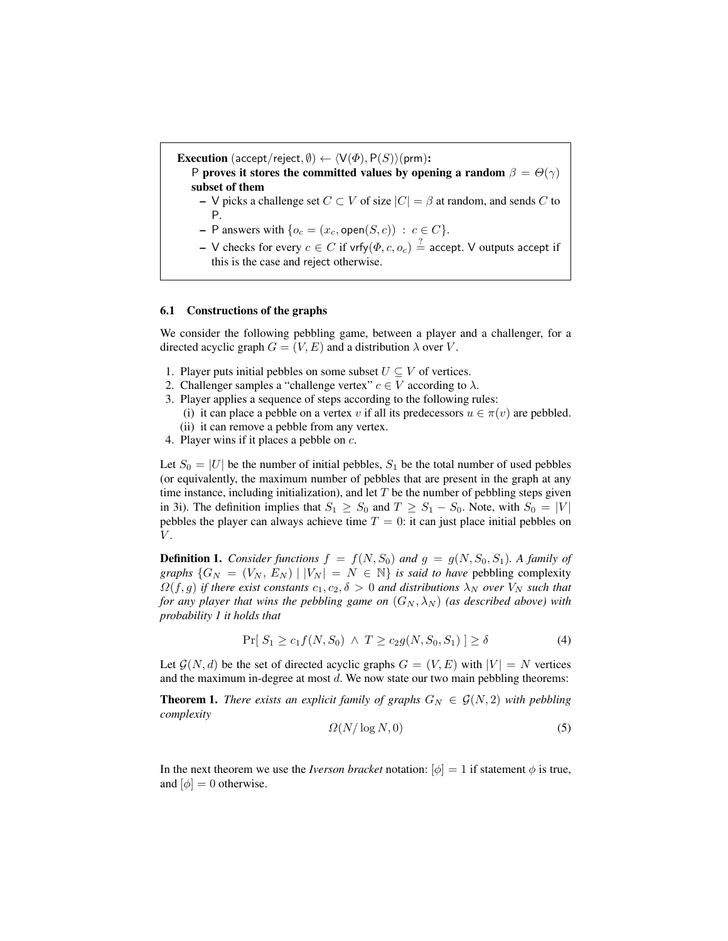**Execution** (accept/reject,  $\emptyset$ )  $\leftarrow \langle V(\Phi), P(S) \rangle$ (prm):

- P proves it stores the committed values by opening a random  $\beta = \Theta(\gamma)$ subset of them
	- V picks a challenge set *C* ⊂ *V* of size  $|C| = \beta$  at random, and sends *C* to P.
	- P answers with  $\{o_c = (x_c, \text{open}(S, c)) : c \in C\}.$
	- $-$  V checks for every  $c\in C$  if vrfy $(\varPhi,c,o_c)\stackrel{?}{=}$  accept. V outputs accept if this is the case and reject otherwise.

#### 6.1 Constructions of the graphs

We consider the following pebbling game, between a player and a challenger, for a directed acyclic graph  $G = (V, E)$  and a distribution  $\lambda$  over V.

- 1. Player puts initial pebbles on some subset  $U \subseteq V$  of vertices.
- 2. Challenger samples a "challenge vertex"  $c \in V$  according to  $\lambda$ .
- 3. Player applies a sequence of steps according to the following rules:
	- (i) it can place a pebble on a vertex v if all its predecessors  $u \in \pi(v)$  are pebbled.
	- (ii) it can remove a pebble from any vertex.
- 4. Player wins if it places a pebble on c.

Let  $S_0 = |U|$  be the number of initial pebbles,  $S_1$  be the total number of used pebbles (or equivalently, the maximum number of pebbles that are present in the graph at any time instance, including initialization), and let  $T$  be the number of pebbling steps given in 3i). The definition implies that  $S_1 \geq S_0$  and  $T \geq S_1 - S_0$ . Note, with  $S_0 = |V|$ pebbles the player can always achieve time  $T = 0$ : it can just place initial pebbles on  $\boldsymbol{V}.$ 

**Definition 1.** *Consider functions*  $f = f(N, S_0)$  *and*  $g = g(N, S_0, S_1)$ *. A family of graphs*  $\{G_N = (V_N, E_N) \mid |V_N| = N \in \mathbb{N}\}\$  *is said to have* pebbling complexity  $\Omega(f,g)$  *if there exist constants*  $c_1, c_2, \delta > 0$  *and distributions*  $\lambda_N$  *over*  $V_N$  *such that for any player that wins the pebbling game on*  $(G_N, \lambda_N)$  *(as described above) with probability 1 it holds that*

$$
\Pr[\ S_1 \ge c_1 f(N, S_0) \ \land \ T \ge c_2 g(N, S_0, S_1)] \ge \delta \tag{4}
$$

Let  $\mathcal{G}(N, d)$  be the set of directed acyclic graphs  $G = (V, E)$  with  $|V| = N$  vertices and the maximum in-degree at most  $d$ . We now state our two main pebbling theorems:

**Theorem 1.** *There exists an explicit family of graphs*  $G_N \in \mathcal{G}(N, 2)$  *with pebbling complexity*

$$
\Omega(N/\log N, 0) \tag{5}
$$

In the next theorem we use the *Iverson bracket* notation:  $[\phi] = 1$  if statement  $\phi$  is true, and  $[\phi] = 0$  otherwise.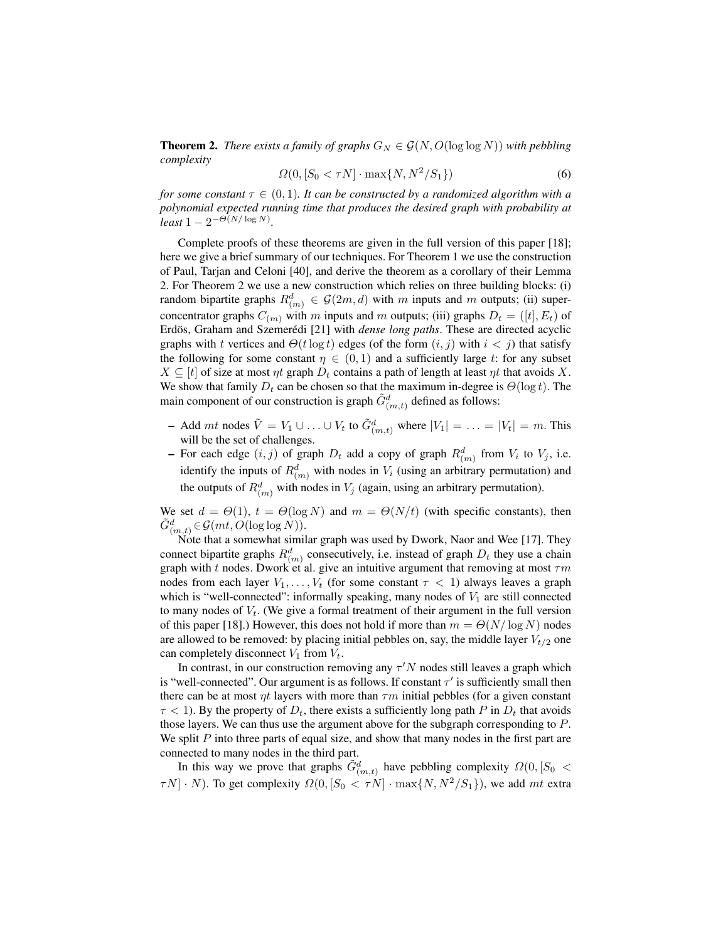**Theorem 2.** *There exists a family of graphs*  $G_N \in \mathcal{G}(N, O(\log \log N))$  *with pebbling complexity*

$$
\Omega(0, [S_0 < \tau N] \cdot \max\{N, N^2 / S_1\})
$$
\n(6)

*for some constant*  $\tau \in (0, 1)$ *. It can be constructed by a randomized algorithm with a polynomial expected running time that produces the desired graph with probability at*  $least 1-2^{-\Theta(N/\log N)}.$ 

Complete proofs of these theorems are given in the full version of this paper [18]; here we give a brief summary of our techniques. For Theorem 1 we use the construction of Paul, Tarjan and Celoni [40], and derive the theorem as a corollary of their Lemma 2. For Theorem 2 we use a new construction which relies on three building blocks: (i) random bipartite graphs  $R_{(m)}^d \in \mathcal{G}(2m,d)$  with m inputs and m outputs; (ii) superconcentrator graphs  $C_{(m)}$  with m inputs and m outputs; (iii) graphs  $D_t = (t, E_t)$  of Erdös, Graham and Szemerédi [21] with *dense long paths*. These are directed acyclic graphs with t vertices and  $\Theta(t \log t)$  edges (of the form  $(i, j)$  with  $i < j$ ) that satisfy the following for some constant  $\eta \in (0,1)$  and a sufficiently large t: for any subset  $X \subseteq [t]$  of size at most  $\eta t$  graph  $D_t$  contains a path of length at least  $\eta t$  that avoids X. We show that family  $D_t$  can be chosen so that the maximum in-degree is  $\Theta(\log t)$ . The main component of our construction is graph  $\tilde{G}^d_{(m,t)}$  defined as follows:

- Add *mt* nodes  $\tilde{V} = V_1 \cup ... \cup V_t$  to  $\tilde{G}^d_{(m,t)}$  where  $|V_1| = ... = |V_t| = m$ . This will be the set of challenges.
- For each edge  $(i, j)$  of graph  $D_t$  add a copy of graph  $R_{(m)}^d$  from  $V_i$  to  $V_j$ , i.e. identify the inputs of  $R_{(m)}^d$  with nodes in  $V_i$  (using an arbitrary permutation) and the outputs of  $R_{(m)}^d$  with nodes in  $V_j$  (again, using an arbitrary permutation).

We set  $d = \Theta(1)$ ,  $t = \Theta(\log N)$  and  $m = \Theta(N/t)$  (with specific constants), then  $\tilde{G}^d_{(m,t)} \in \mathcal{G}(mt, O(\log \log N)).$ 

Note that a somewhat similar graph was used by Dwork, Naor and Wee [17]. They connect bipartite graphs  $R_{(m)}^d$  consecutively, i.e. instead of graph  $D_t$  they use a chain graph with t nodes. Dwork et al. give an intuitive argument that removing at most  $\tau m$ nodes from each layer  $V_1, \ldots, V_t$  (for some constant  $\tau < 1$ ) always leaves a graph which is "well-connected": informally speaking, many nodes of  $V_1$  are still connected to many nodes of  $V_t$ . (We give a formal treatment of their argument in the full version of this paper [18].) However, this does not hold if more than  $m = \Theta(N/\log N)$  nodes are allowed to be removed: by placing initial pebbles on, say, the middle layer  $V_{t/2}$  one can completely disconnect  $V_1$  from  $V_t$ .

In contrast, in our construction removing any  $\tau' N$  nodes still leaves a graph which is "well-connected". Our argument is as follows. If constant  $\tau'$  is sufficiently small then there can be at most  $\eta t$  layers with more than  $\tau m$  initial pebbles (for a given constant  $\tau$  < 1). By the property of  $D_t$ , there exists a sufficiently long path P in  $D_t$  that avoids those layers. We can thus use the argument above for the subgraph corresponding to P. We split  $P$  into three parts of equal size, and show that many nodes in the first part are connected to many nodes in the third part.

In this way we prove that graphs  $\tilde{G}^d_{(m,t)}$  have pebbling complexity  $\Omega(0, [S_0 \lt \mathcal{S}_0])$  $\tau N$ ] · N). To get complexity  $\Omega(0, [S_0 < \tau N] \cdot \max\{N, N^2/S_1\})$ , we add mt extra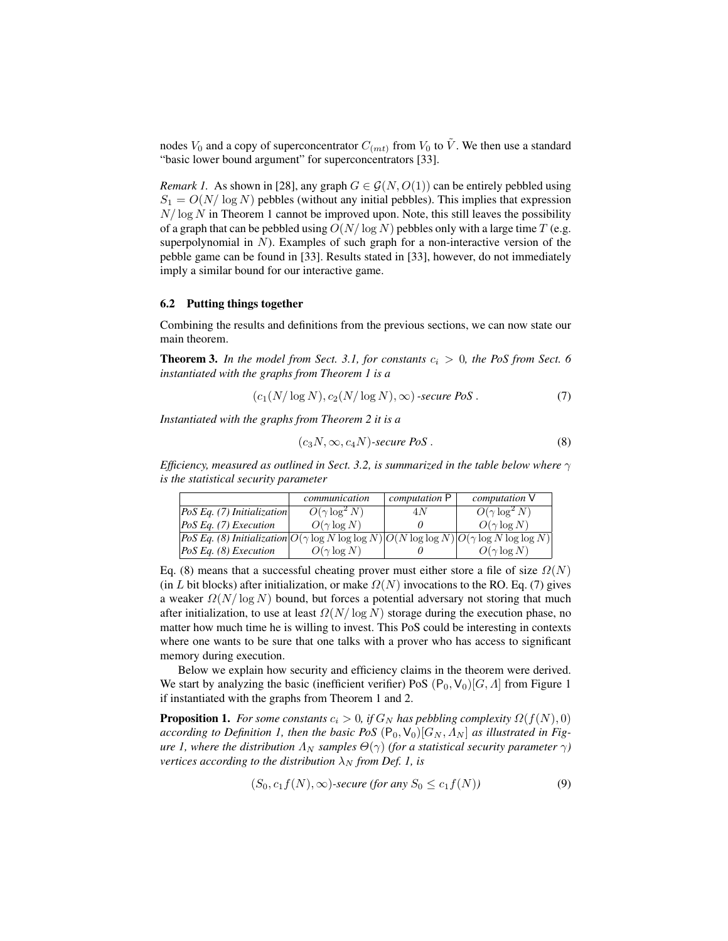nodes  $V_0$  and a copy of superconcentrator  $C_{(mt)}$  from  $V_0$  to  $\tilde{V}$ . We then use a standard "basic lower bound argument" for superconcentrators [33].

*Remark 1.* As shown in [28], any graph  $G \in \mathcal{G}(N, O(1))$  can be entirely pebbled using  $S_1 = O(N/\log N)$  pebbles (without any initial pebbles). This implies that expression  $N/\log N$  in Theorem 1 cannot be improved upon. Note, this still leaves the possibility of a graph that can be pebbled using  $O(N/\log N)$  pebbles only with a large time T (e.g. superpolynomial in  $N$ ). Examples of such graph for a non-interactive version of the pebble game can be found in [33]. Results stated in [33], however, do not immediately imply a similar bound for our interactive game.

#### 6.2 Putting things together

Combining the results and definitions from the previous sections, we can now state our main theorem.

**Theorem 3.** In the model from Sect. 3.1, for constants  $c_i > 0$ , the PoS from Sect. 6 *instantiated with the graphs from Theorem 1 is a*

$$
(c_1(N/\log N), c_2(N/\log N), \infty) \text{ -}secure PoS . \tag{7}
$$

*Instantiated with the graphs from Theorem 2 it is a*

$$
(c_3N, \infty, c_4N)\text{-}secure PoS .\tag{8}
$$

*Efficiency, measured as outlined in Sect. 3.2, is summarized in the table below where*  $\gamma$ *is the statistical security parameter*

|                                                                                                             | communication        | <i>computation</i> P | <i>computation</i> V |
|-------------------------------------------------------------------------------------------------------------|----------------------|----------------------|----------------------|
| $ PoSEq. (7)$ Initialization                                                                                | $O(\gamma \log^2 N)$ | 4 N                  | $O(\gamma \log^2 N)$ |
| $PoS$ Eq. (7) Execution                                                                                     | $O(\gamma \log N)$   |                      | $O(\gamma \log N)$   |
| PoS Eq. (8) Initialization $O(\gamma \log N \log \log N)$ $O(N \log \log N)$ $O(\gamma \log N \log \log N)$ |                      |                      |                      |
| PoSEq. (8) Execution                                                                                        | $O(\gamma \log N)$   |                      | $O(\gamma \log N)$   |

Eq. (8) means that a successful cheating prover must either store a file of size  $\Omega(N)$ (in L bit blocks) after initialization, or make  $\Omega(N)$  invocations to the RO. Eq. (7) gives a weaker  $\Omega(N/\log N)$  bound, but forces a potential adversary not storing that much after initialization, to use at least  $\Omega(N/\log N)$  storage during the execution phase, no matter how much time he is willing to invest. This PoS could be interesting in contexts where one wants to be sure that one talks with a prover who has access to significant memory during execution.

Below we explain how security and efficiency claims in the theorem were derived. We start by analyzing the basic (inefficient verifier) PoS  $(P_0, V_0)[G, \Lambda]$  from Figure 1 if instantiated with the graphs from Theorem 1 and 2.

**Proposition 1.** *For some constants*  $c_i > 0$ , if  $G_N$  *has pebbling complexity*  $\Omega(f(N), 0)$ *according to Definition 1, then the basic PoS*  $(P_0, V_0 | G_N, \Lambda_N]$  *as illustrated in Figure 1, where the distribution*  $\Lambda_N$  *samples*  $\Theta(\gamma)$  *(for a statistical security parameter*  $\gamma$ *) vertices according to the distribution*  $\lambda_N$  *from Def. 1, is* 

$$
(S_0, c_1 f(N), \infty) \text{-}secure (for any S_0 \le c_1 f(N))
$$
\n<sup>(9)</sup>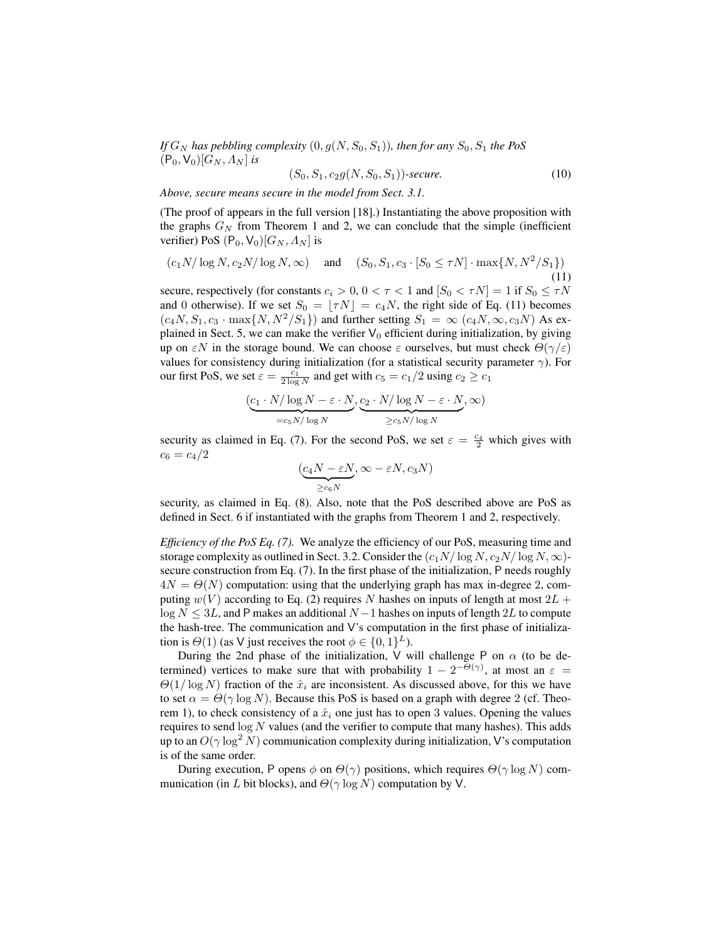*If*  $G_N$  *has pebbling complexity*  $(0, g(N, S_0, S_1))$ *, then for any*  $S_0$ ,  $S_1$  *the PoS*  $(P_0, V_0)[G_N, A_N]$  *is* 

$$
(S_0, S_1, c_2g(N, S_0, S_1)) \text{-}secure. \tag{10}
$$

*Above, secure means secure in the model from Sect. 3.1.*

(The proof of appears in the full version [18].) Instantiating the above proposition with the graphs  $G_N$  from Theorem 1 and 2, we can conclude that the simple (inefficient verifier) PoS  $(P_0, V_0)[G_N, \Lambda_N]$  is

$$
(c_1N/\log N, c_2N/\log N, \infty) \quad \text{and} \quad (S_0, S_1, c_3 \cdot [S_0 \le \tau N] \cdot \max\{N, N^2/S_1\})
$$
\n(11)

secure, respectively (for constants  $c_i > 0$ ,  $0 < \tau < 1$  and  $[S_0 < \tau N] = 1$  if  $S_0 \le \tau N$ and 0 otherwise). If we set  $S_0 = \lfloor \tau N \rfloor = c_4N$ , the right side of Eq. (11) becomes  $(c_4N, S_1, c_3 \cdot \max\{N, N^2/S_1\})$  and further setting  $S_1 = \infty$   $(c_4N, \infty, c_3N)$  As explained in Sect. 5, we can make the verifier  $V_0$  efficient during initialization, by giving up on  $\epsilon N$  in the storage bound. We can choose  $\epsilon$  ourselves, but must check  $\Theta(\gamma/\epsilon)$ values for consistency during initialization (for a statistical security parameter  $\gamma$ ). For our first PoS, we set  $\varepsilon = \frac{c_1}{2 \log N}$  and get with  $c_5 = c_1/2$  using  $c_2 \ge c_1$ 

$$
(\underbrace{c_1 \cdot N / \log N - \varepsilon \cdot N}_{\text{=} c_5 N / \log N}, \underbrace{c_2 \cdot N / \log N - \varepsilon \cdot N}_{\geq c_5 N / \log N}, \infty)
$$

security as claimed in Eq. (7). For the second PoS, we set  $\varepsilon = \frac{c_4}{2}$  which gives with  $c_6 = c_4/2$ 

$$
(\underbrace{c_4N-\varepsilon N}_{\geq c_6N},\infty-\varepsilon N,c_3N)
$$

security, as claimed in Eq. (8). Also, note that the PoS described above are PoS as defined in Sect. 6 if instantiated with the graphs from Theorem 1 and 2, respectively.

*Efficiency of the PoS Eq. (7).* We analyze the efficiency of our PoS, measuring time and storage complexity as outlined in Sect. 3.2. Consider the  $(c_1N/\log N, c_2N/\log N, \infty)$ secure construction from Eq. (7). In the first phase of the initialization, P needs roughly  $4N = \Theta(N)$  computation: using that the underlying graph has max in-degree 2, computing  $w(V)$  according to Eq. (2) requires N hashes on inputs of length at most  $2L +$  $\log N \leq 3L$ , and P makes an additional  $N-1$  hashes on inputs of length 2L to compute the hash-tree. The communication and V's computation in the first phase of initialization is  $\Theta(1)$  (as V just receives the root  $\phi \in \{0,1\}^L$ ).

During the 2nd phase of the initialization, V will challenge P on  $\alpha$  (to be determined) vertices to make sure that with probability  $1 - 2^{-\Theta(\gamma)}$ , at most an  $\varepsilon =$  $\Theta(1/\log N)$  fraction of the  $\hat{x}_i$  are inconsistent. As discussed above, for this we have to set  $\alpha = \Theta(\gamma \log N)$ . Because this PoS is based on a graph with degree 2 (cf. Theorem 1), to check consistency of a  $\hat{x}_i$  one just has to open 3 values. Opening the values requires to send  $\log N$  values (and the verifier to compute that many hashes). This adds up to an  $O(\gamma \log^2 N)$  communication complexity during initialization, V's computation is of the same order.

During execution, P opens  $\phi$  on  $\Theta(\gamma)$  positions, which requires  $\Theta(\gamma \log N)$  communication (in L bit blocks), and  $\Theta(\gamma \log N)$  computation by V.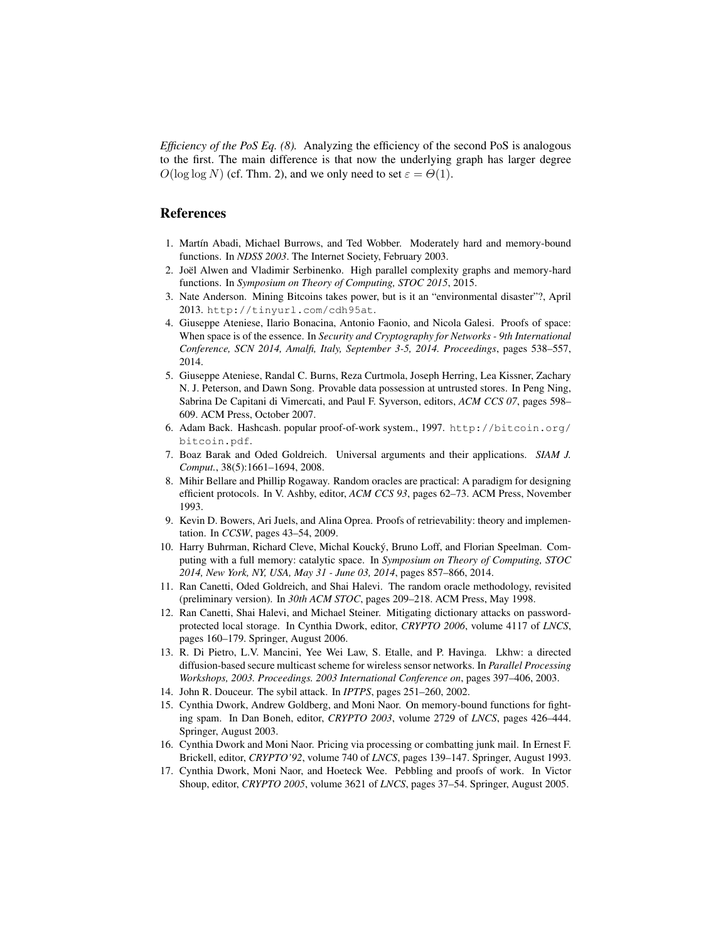*Efficiency of the PoS Eq. (8).* Analyzing the efficiency of the second PoS is analogous to the first. The main difference is that now the underlying graph has larger degree  $O(\log \log N)$  (cf. Thm. 2), and we only need to set  $\varepsilon = \Theta(1)$ .

## References

- 1. Martín Abadi, Michael Burrows, and Ted Wobber. Moderately hard and memory-bound functions. In *NDSS 2003*. The Internet Society, February 2003.
- 2. Joël Alwen and Vladimir Serbinenko. High parallel complexity graphs and memory-hard functions. In *Symposium on Theory of Computing, STOC 2015*, 2015.
- 3. Nate Anderson. Mining Bitcoins takes power, but is it an "environmental disaster"?, April 2013. http://tinyurl.com/cdh95at.
- 4. Giuseppe Ateniese, Ilario Bonacina, Antonio Faonio, and Nicola Galesi. Proofs of space: When space is of the essence. In *Security and Cryptography for Networks - 9th International Conference, SCN 2014, Amalfi, Italy, September 3-5, 2014. Proceedings*, pages 538–557, 2014.
- 5. Giuseppe Ateniese, Randal C. Burns, Reza Curtmola, Joseph Herring, Lea Kissner, Zachary N. J. Peterson, and Dawn Song. Provable data possession at untrusted stores. In Peng Ning, Sabrina De Capitani di Vimercati, and Paul F. Syverson, editors, *ACM CCS 07*, pages 598– 609. ACM Press, October 2007.
- 6. Adam Back. Hashcash. popular proof-of-work system., 1997. http://bitcoin.org/ bitcoin.pdf.
- 7. Boaz Barak and Oded Goldreich. Universal arguments and their applications. *SIAM J. Comput.*, 38(5):1661–1694, 2008.
- 8. Mihir Bellare and Phillip Rogaway. Random oracles are practical: A paradigm for designing efficient protocols. In V. Ashby, editor, *ACM CCS 93*, pages 62–73. ACM Press, November 1993.
- 9. Kevin D. Bowers, Ari Juels, and Alina Oprea. Proofs of retrievability: theory and implementation. In *CCSW*, pages 43–54, 2009.
- 10. Harry Buhrman, Richard Cleve, Michal Koucký, Bruno Loff, and Florian Speelman. Computing with a full memory: catalytic space. In *Symposium on Theory of Computing, STOC 2014, New York, NY, USA, May 31 - June 03, 2014*, pages 857–866, 2014.
- 11. Ran Canetti, Oded Goldreich, and Shai Halevi. The random oracle methodology, revisited (preliminary version). In *30th ACM STOC*, pages 209–218. ACM Press, May 1998.
- 12. Ran Canetti, Shai Halevi, and Michael Steiner. Mitigating dictionary attacks on passwordprotected local storage. In Cynthia Dwork, editor, *CRYPTO 2006*, volume 4117 of *LNCS*, pages 160–179. Springer, August 2006.
- 13. R. Di Pietro, L.V. Mancini, Yee Wei Law, S. Etalle, and P. Havinga. Lkhw: a directed diffusion-based secure multicast scheme for wireless sensor networks. In *Parallel Processing Workshops, 2003. Proceedings. 2003 International Conference on*, pages 397–406, 2003.
- 14. John R. Douceur. The sybil attack. In *IPTPS*, pages 251–260, 2002.
- 15. Cynthia Dwork, Andrew Goldberg, and Moni Naor. On memory-bound functions for fighting spam. In Dan Boneh, editor, *CRYPTO 2003*, volume 2729 of *LNCS*, pages 426–444. Springer, August 2003.
- 16. Cynthia Dwork and Moni Naor. Pricing via processing or combatting junk mail. In Ernest F. Brickell, editor, *CRYPTO'92*, volume 740 of *LNCS*, pages 139–147. Springer, August 1993.
- 17. Cynthia Dwork, Moni Naor, and Hoeteck Wee. Pebbling and proofs of work. In Victor Shoup, editor, *CRYPTO 2005*, volume 3621 of *LNCS*, pages 37–54. Springer, August 2005.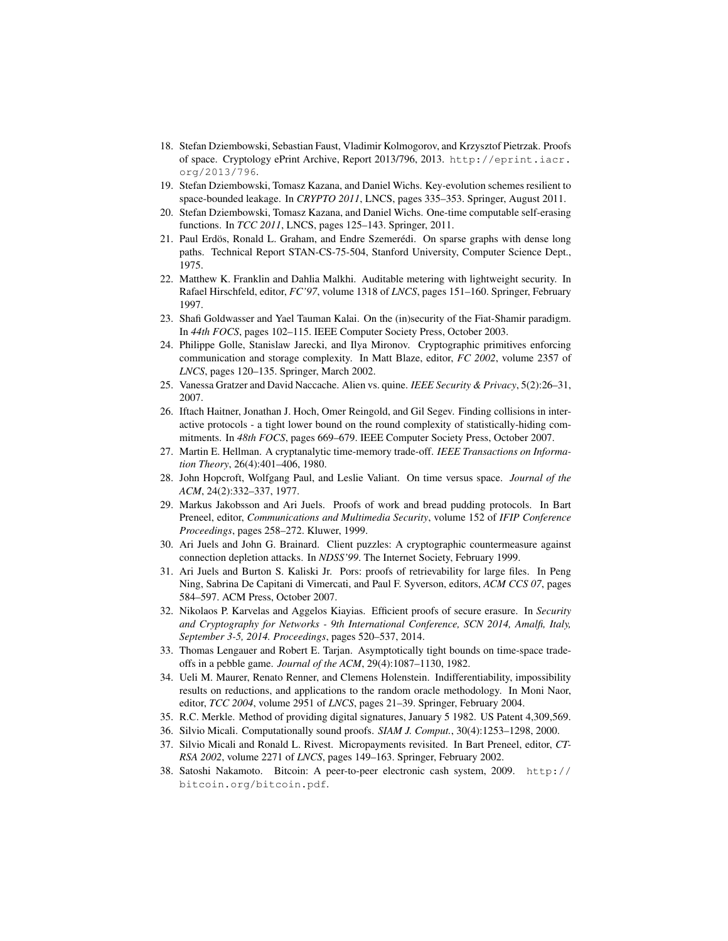- 18. Stefan Dziembowski, Sebastian Faust, Vladimir Kolmogorov, and Krzysztof Pietrzak. Proofs of space. Cryptology ePrint Archive, Report 2013/796, 2013. http://eprint.iacr. org/2013/796.
- 19. Stefan Dziembowski, Tomasz Kazana, and Daniel Wichs. Key-evolution schemes resilient to space-bounded leakage. In *CRYPTO 2011*, LNCS, pages 335–353. Springer, August 2011.
- 20. Stefan Dziembowski, Tomasz Kazana, and Daniel Wichs. One-time computable self-erasing functions. In *TCC 2011*, LNCS, pages 125–143. Springer, 2011.
- 21. Paul Erdös, Ronald L. Graham, and Endre Szemerédi. On sparse graphs with dense long paths. Technical Report STAN-CS-75-504, Stanford University, Computer Science Dept., 1975.
- 22. Matthew K. Franklin and Dahlia Malkhi. Auditable metering with lightweight security. In Rafael Hirschfeld, editor, *FC'97*, volume 1318 of *LNCS*, pages 151–160. Springer, February 1997.
- 23. Shafi Goldwasser and Yael Tauman Kalai. On the (in)security of the Fiat-Shamir paradigm. In *44th FOCS*, pages 102–115. IEEE Computer Society Press, October 2003.
- 24. Philippe Golle, Stanislaw Jarecki, and Ilya Mironov. Cryptographic primitives enforcing communication and storage complexity. In Matt Blaze, editor, *FC 2002*, volume 2357 of *LNCS*, pages 120–135. Springer, March 2002.
- 25. Vanessa Gratzer and David Naccache. Alien vs. quine. *IEEE Security & Privacy*, 5(2):26–31, 2007.
- 26. Iftach Haitner, Jonathan J. Hoch, Omer Reingold, and Gil Segev. Finding collisions in interactive protocols - a tight lower bound on the round complexity of statistically-hiding commitments. In *48th FOCS*, pages 669–679. IEEE Computer Society Press, October 2007.
- 27. Martin E. Hellman. A cryptanalytic time-memory trade-off. *IEEE Transactions on Information Theory*, 26(4):401–406, 1980.
- 28. John Hopcroft, Wolfgang Paul, and Leslie Valiant. On time versus space. *Journal of the ACM*, 24(2):332–337, 1977.
- 29. Markus Jakobsson and Ari Juels. Proofs of work and bread pudding protocols. In Bart Preneel, editor, *Communications and Multimedia Security*, volume 152 of *IFIP Conference Proceedings*, pages 258–272. Kluwer, 1999.
- 30. Ari Juels and John G. Brainard. Client puzzles: A cryptographic countermeasure against connection depletion attacks. In *NDSS'99*. The Internet Society, February 1999.
- 31. Ari Juels and Burton S. Kaliski Jr. Pors: proofs of retrievability for large files. In Peng Ning, Sabrina De Capitani di Vimercati, and Paul F. Syverson, editors, *ACM CCS 07*, pages 584–597. ACM Press, October 2007.
- 32. Nikolaos P. Karvelas and Aggelos Kiayias. Efficient proofs of secure erasure. In *Security and Cryptography for Networks - 9th International Conference, SCN 2014, Amalfi, Italy, September 3-5, 2014. Proceedings*, pages 520–537, 2014.
- 33. Thomas Lengauer and Robert E. Tarjan. Asymptotically tight bounds on time-space tradeoffs in a pebble game. *Journal of the ACM*, 29(4):1087–1130, 1982.
- 34. Ueli M. Maurer, Renato Renner, and Clemens Holenstein. Indifferentiability, impossibility results on reductions, and applications to the random oracle methodology. In Moni Naor, editor, *TCC 2004*, volume 2951 of *LNCS*, pages 21–39. Springer, February 2004.
- 35. R.C. Merkle. Method of providing digital signatures, January 5 1982. US Patent 4,309,569.
- 36. Silvio Micali. Computationally sound proofs. *SIAM J. Comput.*, 30(4):1253–1298, 2000.
- 37. Silvio Micali and Ronald L. Rivest. Micropayments revisited. In Bart Preneel, editor, *CT-RSA 2002*, volume 2271 of *LNCS*, pages 149–163. Springer, February 2002.
- 38. Satoshi Nakamoto. Bitcoin: A peer-to-peer electronic cash system, 2009. http:// bitcoin.org/bitcoin.pdf.